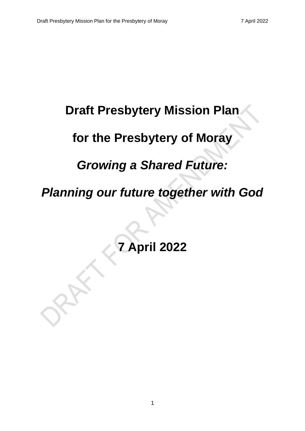# **Draft Presbytery Mission Plan**

# **for the Presbytery of Moray**

# *Growing a Shared Future:*

# *Planning our future together with God*

**7 April 2022**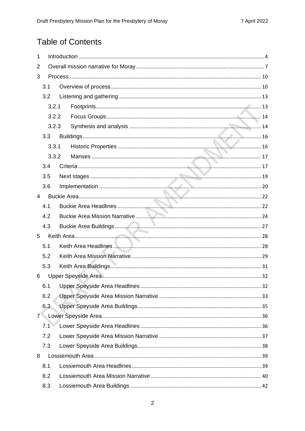# **Table of Contents**

| 1           |     |       |  |  |  |  |  |
|-------------|-----|-------|--|--|--|--|--|
| 2           |     |       |  |  |  |  |  |
| 3           |     |       |  |  |  |  |  |
|             | 3.1 |       |  |  |  |  |  |
|             | 3.2 |       |  |  |  |  |  |
|             |     | 3.2.1 |  |  |  |  |  |
|             |     | 3.2.2 |  |  |  |  |  |
|             |     | 3.2.3 |  |  |  |  |  |
|             | 3.3 |       |  |  |  |  |  |
|             |     | 3.3.1 |  |  |  |  |  |
|             |     | 3.3.2 |  |  |  |  |  |
|             | 3.4 |       |  |  |  |  |  |
|             | 3.5 |       |  |  |  |  |  |
|             | 3.6 |       |  |  |  |  |  |
| 4           |     |       |  |  |  |  |  |
|             | 4.1 |       |  |  |  |  |  |
|             | 4.2 |       |  |  |  |  |  |
|             | 4.3 |       |  |  |  |  |  |
| 5           |     |       |  |  |  |  |  |
|             | 5.1 |       |  |  |  |  |  |
|             | 5.2 |       |  |  |  |  |  |
|             | 5.3 |       |  |  |  |  |  |
| 6           |     |       |  |  |  |  |  |
|             | 6.1 |       |  |  |  |  |  |
|             | 6.2 |       |  |  |  |  |  |
|             | 6.3 |       |  |  |  |  |  |
| $7^{\circ}$ |     |       |  |  |  |  |  |
|             | 7.1 |       |  |  |  |  |  |
|             | 7.2 |       |  |  |  |  |  |
|             | 7.3 |       |  |  |  |  |  |
| 8           |     |       |  |  |  |  |  |
|             | 8.1 |       |  |  |  |  |  |
|             | 8.2 |       |  |  |  |  |  |
|             | 8.3 |       |  |  |  |  |  |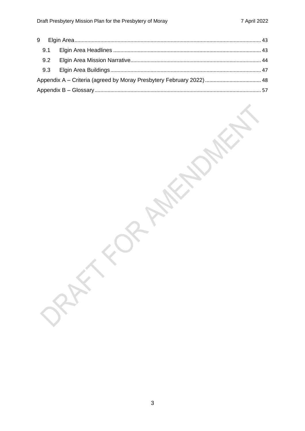| 9.1 |  |
|-----|--|
| 9.2 |  |
| 9.3 |  |
|     |  |
|     |  |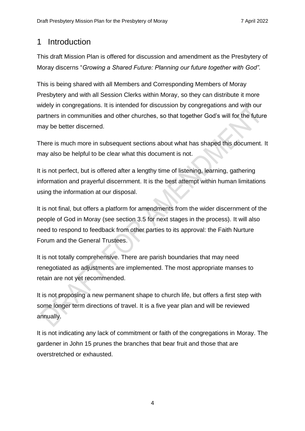# <span id="page-3-0"></span>1 Introduction

This draft Mission Plan is offered for discussion and amendment as the Presbytery of Moray discerns "*Growing a Shared Future: Planning our future together with God".*

This is being shared with all Members and Corresponding Members of Moray Presbytery and with all Session Clerks within Moray, so they can distribute it more widely in congregations. It is intended for discussion by congregations and with our partners in communities and other churches, so that together God's will for the future may be better discerned.

There is much more in subsequent sections about what has shaped this document. It may also be helpful to be clear what this document is not.

It is not perfect, but is offered after a lengthy time of listening, learning, gathering information and prayerful discernment. It is the best attempt within human limitations using the information at our disposal.

It is not final, but offers a platform for amendments from the wider discernment of the people of God in Moray (see section 3.5 for next stages in the process). It will also need to respond to feedback from other parties to its approval: the Faith Nurture Forum and the General Trustees.

It is not totally comprehensive. There are parish boundaries that may need renegotiated as adjustments are implemented. The most appropriate manses to retain are not yet recommended.

It is not proposing a new permanent shape to church life, but offers a first step with some longer term directions of travel. It is a five year plan and will be reviewed annually.

It is not indicating any lack of commitment or faith of the congregations in Moray. The gardener in John 15 prunes the branches that bear fruit and those that are overstretched or exhausted.

4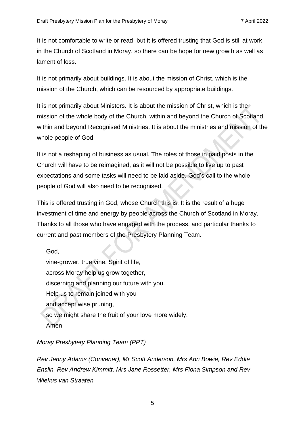It is not comfortable to write or read, but it is offered trusting that God is still at work in the Church of Scotland in Moray, so there can be hope for new growth as well as lament of loss.

It is not primarily about buildings. It is about the mission of Christ, which is the mission of the Church, which can be resourced by appropriate buildings.

It is not primarily about Ministers. It is about the mission of Christ, which is the mission of the whole body of the Church, within and beyond the Church of Scotland, within and beyond Recognised Ministries. It is about the ministries and mission of the whole people of God.

It is not a reshaping of business as usual. The roles of those in paid posts in the Church will have to be reimagined, as it will not be possible to live up to past expectations and some tasks will need to be laid aside. God's call to the whole people of God will also need to be recognised.

This is offered trusting in God, whose Church this is. It is the result of a huge investment of time and energy by people across the Church of Scotland in Moray. Thanks to all those who have engaged with the process, and particular thanks to current and past members of the Presbytery Planning Team.

God, vine-grower, true vine, Spirit of life, across Moray help us grow together, discerning and planning our future with you. Help us to remain joined with you and accept wise pruning, so we might share the fruit of your love more widely. Amen

# *Moray Presbytery Planning Team (PPT)*

*Rev Jenny Adams (Convener), Mr Scott Anderson, Mrs Ann Bowie, Rev Eddie Enslin, Rev Andrew Kimmitt, Mrs Jane Rossetter, Mrs Fiona Simpson and Rev Wiekus van Straaten*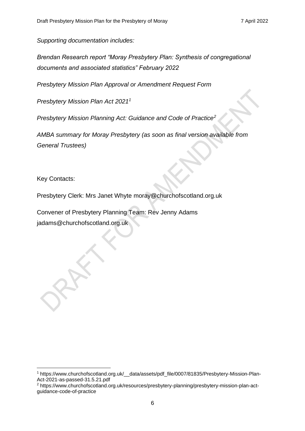*Supporting documentation includes:*

*Brendan Research report "Moray Presbytery Plan: Synthesis of congregational documents and associated statistics" February 2022*

*Presbytery Mission Plan Approval or Amendment Request Form*

*Presbytery Mission Plan Act 2021<sup>1</sup>*

*Presbytery Mission Planning Act: Guidance and Code of Practice<sup>2</sup>*

*AMBA summary for Moray Presbytery (as soon as final version available from General Trustees)*

Key Contacts:

Presbytery Clerk: Mrs Janet Whyte [moray@churchofscotland.org.uk](mailto:moray@churchofscotland.org.uk)

Convener of Presbytery Planning Team: Rev Jenny Adams jadams@churchofscotland.org.uk

<sup>1</sup> https://www.churchofscotland.org.uk/\_\_data/assets/pdf\_file/0007/81835/Presbytery-Mission-Plan-Act-2021-as-passed-31.5.21.pdf

<sup>2</sup> https://www.churchofscotland.org.uk/resources/presbytery-planning/presbytery-mission-plan-actguidance-code-of-practice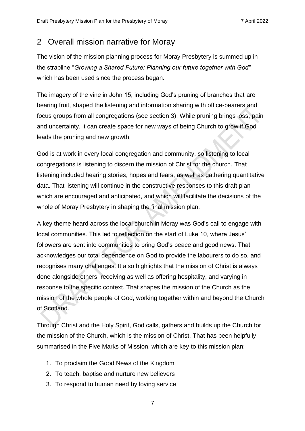# <span id="page-6-0"></span>2 Overall mission narrative for Moray

The vision of the mission planning process for Moray Presbytery is summed up in the strapline "*Growing a Shared Future: Planning our future together with God"*  which has been used since the process began.

The imagery of the vine in John 15, including God's pruning of branches that are bearing fruit, shaped the listening and information sharing with office-bearers and focus groups from all congregations (see section 3). While pruning brings loss, pain and uncertainty, it can create space for new ways of being Church to grow if God leads the pruning and new growth.

God is at work in every local congregation and community, so listening to local congregations is listening to discern the mission of Christ for the church. That listening included hearing stories, hopes and fears, as well as gathering quantitative data. That listening will continue in the constructive responses to this draft plan which are encouraged and anticipated, and which will facilitate the decisions of the whole of Moray Presbytery in shaping the final mission plan.

A key theme heard across the local church in Moray was God's call to engage with local communities. This led to reflection on the start of Luke 10, where Jesus' followers are sent into communities to bring God's peace and good news. That acknowledges our total dependence on God to provide the labourers to do so, and recognises many challenges. It also highlights that the mission of Christ is always done alongside others, receiving as well as offering hospitality, and varying in response to the specific context. That shapes the mission of the Church as the mission of the whole people of God, working together within and beyond the Church of Scotland.

Through Christ and the Holy Spirit, God calls, gathers and builds up the Church for the mission of the Church, which is the mission of Christ. That has been helpfully summarised in the Five Marks of Mission, which are key to this mission plan:

- 1. To proclaim the Good News of the Kingdom
- 2. To teach, baptise and nurture new believers
- 3. To respond to human need by loving service

7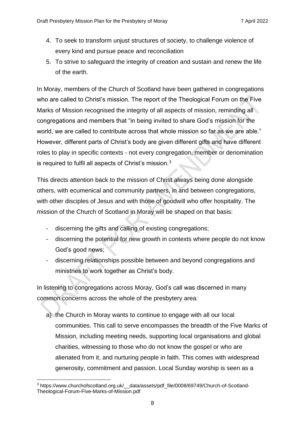- 4. To seek to transform unjust structures of society, to challenge violence of every kind and pursue peace and reconciliation
- 5. To strive to safeguard the integrity of creation and sustain and renew the life of the earth.

In Moray, members of the Church of Scotland have been gathered in congregations who are called to Christ's mission. The report of the Theological Forum on the Five Marks of Mission recognised the integrity of all aspects of mission, reminding all congregations and members that "in being invited to share God's mission for the world, we are called to contribute across that whole mission so far as we are able." However, different parts of Christ's body are given different gifts and have different roles to play in specific contexts - not every congregation, member or denomination is required to fulfil all aspects of Christ's mission.<sup>3</sup>

This directs attention back to the mission of Christ always being done alongside others, with ecumenical and community partners, in and between congregations, with other disciples of Jesus and with those of goodwill who offer hospitality. The mission of the Church of Scotland in Moray will be shaped on that basis:

- discerning the gifts and calling of existing congregations;
- discerning the potential for new growth in contexts where people do not know God's good news;
- discerning relationships possible between and beyond congregations and ministries to work together as Christ's body.

In listening to congregations across Moray, God's call was discerned in many common concerns across the whole of the presbytery area:

a) the Church in Moray wants to continue to engage with all our local communities. This call to serve encompasses the breadth of the Five Marks of Mission, including meeting needs, supporting local organisations and global charities, witnessing to those who do not know the gospel or who are alienated from it, and nurturing people in faith. This comes with widespread generosity, commitment and passion. Local Sunday worship is seen as a

<sup>3</sup> https://www.churchofscotland.org.uk/\_\_data/assets/pdf\_file/0008/69749/Church-of-Scotland-Theological-Forum-Five-Marks-of-Mission.pdf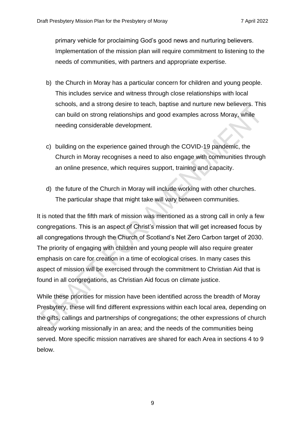primary vehicle for proclaiming God's good news and nurturing believers. Implementation of the mission plan will require commitment to listening to the needs of communities, with partners and appropriate expertise.

- b) the Church in Moray has a particular concern for children and young people. This includes service and witness through close relationships with local schools, and a strong desire to teach, baptise and nurture new believers. This can build on strong relationships and good examples across Moray, while needing considerable development.
- c) building on the experience gained through the COVID-19 pandemic, the Church in Moray recognises a need to also engage with communities through an online presence, which requires support, training and capacity.
- d) the future of the Church in Moray will include working with other churches. The particular shape that might take will vary between communities.

It is noted that the fifth mark of mission was mentioned as a strong call in only a few congregations. This is an aspect of Christ's mission that will get increased focus by all congregations through the Church of Scotland's Net Zero Carbon target of 2030. The priority of engaging with children and young people will also require greater emphasis on care for creation in a time of ecological crises. In many cases this aspect of mission will be exercised through the commitment to Christian Aid that is found in all congregations, as Christian Aid focus on climate justice.

While these priorities for mission have been identified across the breadth of Moray Presbytery, these will find different expressions within each local area, depending on the gifts, callings and partnerships of congregations; the other expressions of church already working missionally in an area; and the needs of the communities being served. More specific mission narratives are shared for each Area in sections 4 to 9 below.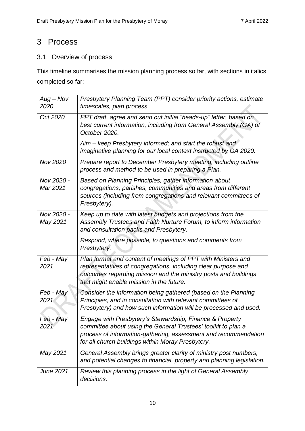# <span id="page-9-0"></span>3 Process

# <span id="page-9-1"></span>3.1 Overview of process

This timeline summarises the mission planning process so far, with sections in italics completed so far:

| $Aug - Nov$<br>2020    | Presbytery Planning Team (PPT) consider priority actions, estimate<br>timescales, plan process                                                                                                                                                    |
|------------------------|---------------------------------------------------------------------------------------------------------------------------------------------------------------------------------------------------------------------------------------------------|
| Oct 2020               | PPT draft, agree and send out initial "heads-up" letter, based on<br>best current information, including from General Assembly (GA) of<br>October 2020.                                                                                           |
|                        | Aim – keep Presbytery informed; and start the robust and<br>imaginative planning for our local context instructed by GA 2020.                                                                                                                     |
| Nov 2020               | Prepare report to December Presbytery meeting, including outline<br>process and method to be used in preparing a Plan.                                                                                                                            |
| Nov 2020 -<br>Mar 2021 | Based on Planning Principles, gather information about<br>congregations, parishes, communities and areas from different<br>sources (including from congregations and relevant committees of<br>Presbytery).                                       |
| Nov 2020 -<br>May 2021 | Keep up to date with latest budgets and projections from the<br>Assembly Trustees and Faith Nurture Forum, to inform information<br>and consultation packs and Presbytery.                                                                        |
|                        | Respond, where possible, to questions and comments from<br>Presbytery.                                                                                                                                                                            |
| Feb - May<br>2021      | Plan format and content of meetings of PPT with Ministers and<br>representatives of congregations, including clear purpose and<br>outcomes regarding mission and the ministry posts and buildings<br>that might enable mission in the future.     |
| Feb - May<br>2021      | Consider the information being gathered (based on the Planning<br>Principles, and in consultation with relevant committees of<br>Presbytery) and how such information will be processed and used.                                                 |
| Feb - May<br>2021      | Engage with Presbytery's Stewardship, Finance & Property<br>committee about using the General Trustees' toolkit to plan a<br>process of information-gathering, assessment and recommendation<br>for all church buildings within Moray Presbytery. |
| May 2021               | General Assembly brings greater clarity of ministry post numbers,<br>and potential changes to financial, property and planning legislation.                                                                                                       |
| June 2021              | Review this planning process in the light of General Assembly<br>decisions.                                                                                                                                                                       |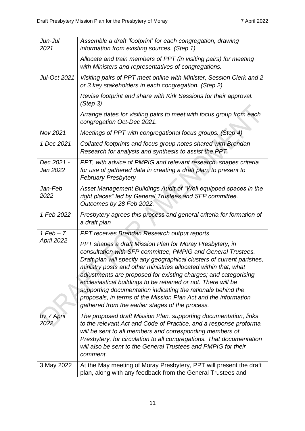| Jun-Jul<br>2021        | Assemble a draft 'footprint' for each congregation, drawing<br>information from existing sources. (Step 1)                                                                                                                                                                                                                                                                                                                                                                                                                                                                                       |
|------------------------|--------------------------------------------------------------------------------------------------------------------------------------------------------------------------------------------------------------------------------------------------------------------------------------------------------------------------------------------------------------------------------------------------------------------------------------------------------------------------------------------------------------------------------------------------------------------------------------------------|
|                        | Allocate and train members of PPT (in visiting pairs) for meeting<br>with Ministers and representatives of congregations.                                                                                                                                                                                                                                                                                                                                                                                                                                                                        |
| Jul-Oct 2021           | Visiting pairs of PPT meet online with Minister, Session Clerk and 2<br>or 3 key stakeholders in each congregation. (Step 2)                                                                                                                                                                                                                                                                                                                                                                                                                                                                     |
|                        | Revise footprint and share with Kirk Sessions for their approval.<br>(Step 3)                                                                                                                                                                                                                                                                                                                                                                                                                                                                                                                    |
|                        | Arrange dates for visiting pairs to meet with focus group from each<br>congregation Oct-Dec 2021.                                                                                                                                                                                                                                                                                                                                                                                                                                                                                                |
| Nov 2021               | Meetings of PPT with congregational focus groups. (Step 4)                                                                                                                                                                                                                                                                                                                                                                                                                                                                                                                                       |
| 1 Dec 2021             | Collated footprints and focus group notes shared with Brendan<br>Research for analysis and synthesis to assist the PPT                                                                                                                                                                                                                                                                                                                                                                                                                                                                           |
| Dec 2021 -<br>Jan 2022 | PPT, with advice of PMPIG and relevant research, shapes criteria<br>for use of gathered data in creating a draft plan, to present to<br><b>February Presbytery</b>                                                                                                                                                                                                                                                                                                                                                                                                                               |
| Jan-Feb<br>2022        | Asset Management Buildings Audit of "Well equipped spaces in the<br>right places" led by General Trustees and SFP committee.<br>Outcomes by 28 Feb 2022.                                                                                                                                                                                                                                                                                                                                                                                                                                         |
| 1 Feb 2022             | Presbytery agrees this process and general criteria for formation of<br>a draft plan                                                                                                                                                                                                                                                                                                                                                                                                                                                                                                             |
| $1$ Feb $-7$           | PPT receives Brendan Research output reports                                                                                                                                                                                                                                                                                                                                                                                                                                                                                                                                                     |
| <b>April 2022</b>      | PPT shapes a draft Mission Plan for Moray Presbytery, in<br>consultation with SFP committee, PMPIG and General Trustees.<br>Draft plan will specify any geographical clusters of current parishes,<br>ministry posts and other ministries allocated within that; what<br>adjustments are proposed for existing charges; and categorising<br>ecclesiastical buildings to be retained or not. There will be<br>supporting documentation indicating the rationale behind the<br>proposals, in terms of the Mission Plan Act and the information<br>gathered from the earlier stages of the process. |
| by 7 April<br>2022     | The proposed draft Mission Plan, supporting documentation, links<br>to the relevant Act and Code of Practice, and a response proforma<br>will be sent to all members and corresponding members of<br>Presbytery, for circulation to all congregations. That documentation<br>will also be sent to the General Trustees and PMPIG for their<br>comment.                                                                                                                                                                                                                                           |
| 3 May 2022             | At the May meeting of Moray Presbytery, PPT will present the draft<br>plan, along with any feedback from the General Trustees and                                                                                                                                                                                                                                                                                                                                                                                                                                                                |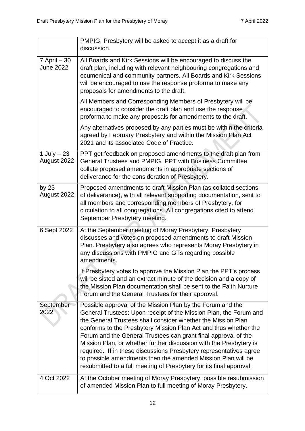|                                     | PMPIG. Presbytery will be asked to accept it as a draft for<br>discussion.                                                                                                                                                                                                                                                                                                                                                                                                                                                                                                                                               |
|-------------------------------------|--------------------------------------------------------------------------------------------------------------------------------------------------------------------------------------------------------------------------------------------------------------------------------------------------------------------------------------------------------------------------------------------------------------------------------------------------------------------------------------------------------------------------------------------------------------------------------------------------------------------------|
| $7$ April $-30$<br><b>June 2022</b> | All Boards and Kirk Sessions will be encouraged to discuss the<br>draft plan, including with relevant neighbouring congregations and<br>ecumenical and community partners. All Boards and Kirk Sessions<br>will be encouraged to use the response proforma to make any<br>proposals for amendments to the draft.                                                                                                                                                                                                                                                                                                         |
|                                     | All Members and Corresponding Members of Presbytery will be<br>encouraged to consider the draft plan and use the response<br>proforma to make any proposals for amendments to the draft.                                                                                                                                                                                                                                                                                                                                                                                                                                 |
|                                     | Any alternatives proposed by any parties must be within the criteria<br>agreed by February Presbytery and within the Mission Plan Act<br>2021 and its associated Code of Practice.                                                                                                                                                                                                                                                                                                                                                                                                                                       |
| 1 July $-23$<br>August 2022         | PPT get feedback on proposed amendments to the draft plan from<br>General Trustees and PMPIG. PPT with Business Committee<br>collate proposed amendments in appropriate sections of<br>deliverance for the consideration of Presbytery.                                                                                                                                                                                                                                                                                                                                                                                  |
| by $23$<br>August 2022              | Proposed amendments to draft Mission Plan (as collated sections<br>of deliverance), with all relevant supporting documentation, sent to<br>all members and corresponding members of Presbytery, for<br>circulation to all congregations. All congregations cited to attend<br>September Presbytery meeting.                                                                                                                                                                                                                                                                                                              |
| 6 Sept 2022                         | At the September meeting of Moray Presbytery, Presbytery<br>discusses and votes on proposed amendments to draft Mission<br>Plan. Presbytery also agrees who represents Moray Presbytery in<br>any discussions with PMPIG and GTs regarding possible<br>amendments.                                                                                                                                                                                                                                                                                                                                                       |
|                                     | If Presbytery votes to approve the Mission Plan the PPT's process<br>will be sisted and an extract minute of the decision and a copy of<br>the Mission Plan documentation shall be sent to the Faith Nurture<br>Forum and the General Trustees for their approval.                                                                                                                                                                                                                                                                                                                                                       |
| September<br>2022                   | Possible approval of the Mission Plan by the Forum and the<br>General Trustees: Upon receipt of the Mission Plan, the Forum and<br>the General Trustees shall consider whether the Mission Plan<br>conforms to the Presbytery Mission Plan Act and thus whether the<br>Forum and the General Trustees can grant final approval of the<br>Mission Plan, or whether further discussion with the Presbytery is<br>required. If in these discussions Presbytery representatives agree<br>to possible amendments then the amended Mission Plan will be<br>resubmitted to a full meeting of Presbytery for its final approval. |
| 4 Oct 2022                          | At the October meeting of Moray Presbytery, possible resubmission<br>of amended Mission Plan to full meeting of Moray Presbytery.                                                                                                                                                                                                                                                                                                                                                                                                                                                                                        |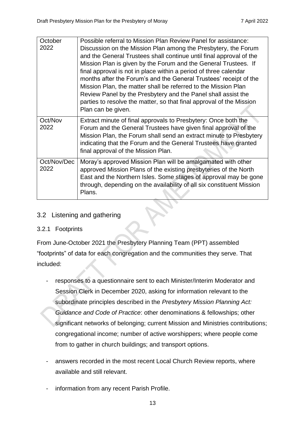| October<br>2022     | Possible referral to Mission Plan Review Panel for assistance:<br>Discussion on the Mission Plan among the Presbytery, the Forum<br>and the General Trustees shall continue until final approval of the<br>Mission Plan is given by the Forum and the General Trustees. If<br>final approval is not in place within a period of three calendar<br>months after the Forum's and the General Trustees' receipt of the<br>Mission Plan, the matter shall be referred to the Mission Plan<br>Review Panel by the Presbytery and the Panel shall assist the<br>parties to resolve the matter, so that final approval of the Mission<br>Plan can be given. |
|---------------------|------------------------------------------------------------------------------------------------------------------------------------------------------------------------------------------------------------------------------------------------------------------------------------------------------------------------------------------------------------------------------------------------------------------------------------------------------------------------------------------------------------------------------------------------------------------------------------------------------------------------------------------------------|
| Oct/Nov<br>2022     | Extract minute of final approvals to Presbytery: Once both the<br>Forum and the General Trustees have given final approval of the<br>Mission Plan, the Forum shall send an extract minute to Presbytery<br>indicating that the Forum and the General Trustees have granted<br>final approval of the Mission Plan.                                                                                                                                                                                                                                                                                                                                    |
| Oct/Nov/Dec<br>2022 | Moray's approved Mission Plan will be amalgamated with other<br>approved Mission Plans of the existing presbyteries of the North<br>East and the Northern Isles. Some stages of approval may be gone<br>through, depending on the availability of all six constituent Mission<br>Plans.                                                                                                                                                                                                                                                                                                                                                              |

#### <span id="page-12-0"></span>3.2 Listening and gathering

#### <span id="page-12-1"></span>3.2.1 Footprints

From June-October 2021 the Presbytery Planning Team (PPT) assembled "footprints" of data for each congregation and the communities they serve. That included:

- responses to a questionnaire sent to each Minister/Interim Moderator and Session Clerk in December 2020, asking for information relevant to the subordinate principles described in the *Presbytery Mission Planning Act: Guidance and Code of Practice*: other denominations & fellowships; other significant networks of belonging; current Mission and Ministries contributions; congregational income; number of active worshippers; where people come from to gather in church buildings; and transport options.
- answers recorded in the most recent Local Church Review reports, where available and still relevant.
- information from any recent Parish Profile.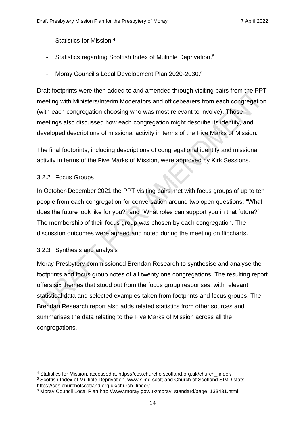- Statistics for Mission. 4
- Statistics regarding Scottish Index of Multiple Deprivation.<sup>5</sup>
- Moray Council's Local Development Plan 2020-2030.<sup>6</sup>

Draft footprints were then added to and amended through visiting pairs from the PPT meeting with Ministers/Interim Moderators and officebearers from each congregation (with each congregation choosing who was most relevant to involve). Those meetings also discussed how each congregation might describe its identity, and developed descriptions of missional activity in terms of the Five Marks of Mission.

The final footprints, including descriptions of congregational identity and missional activity in terms of the Five Marks of Mission, were approved by Kirk Sessions.

#### <span id="page-13-0"></span>3.2.2 Focus Groups

In October-December 2021 the PPT visiting pairs met with focus groups of up to ten people from each congregation for conversation around two open questions: "What does the future look like for you?" and "What roles can support you in that future?" The membership of their focus group was chosen by each congregation. The discussion outcomes were agreed and noted during the meeting on flipcharts.

### <span id="page-13-1"></span>3.2.3 Synthesis and analysis

Moray Presbytery commissioned Brendan Research to synthesise and analyse the footprints and focus group notes of all twenty one congregations. The resulting report offers six themes that stood out from the focus group responses, with relevant statistical data and selected examples taken from footprints and focus groups. The Brendan Research report also adds related statistics from other sources and summarises the data relating to the Five Marks of Mission across all the congregations.

<sup>&</sup>lt;sup>4</sup> Statistics for Mission, accessed at [https://cos.churchofscotland.org.uk/church\\_finder/](https://cos.churchofscotland.org.uk/church_finder/)

<sup>5</sup> Scottish Index of Multiple Deprivation, [www.simd.scot;](file:///C:/Users/akimm/Dropbox/Desktop/Kirk/Moray%20Presbytery/PLanning%20Group/Footprints%20folders/www.simd.scot) and Church of Scotland SIMD stats [https://cos.churchofscotland.org.uk/church\\_finder/](https://cos.churchofscotland.org.uk/church_finder/)

<sup>6</sup> Moray Council Local Plan [http://www.moray.gov.uk/moray\\_standard/page\\_133431.html](http://www.moray.gov.uk/moray_standard/page_133431.html)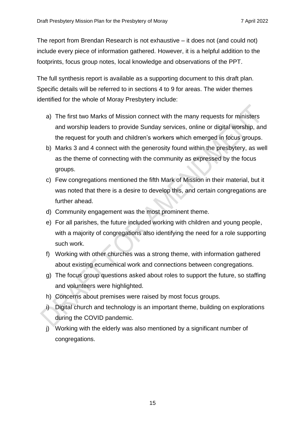The report from Brendan Research is not exhaustive – it does not (and could not) include every piece of information gathered. However, it is a helpful addition to the footprints, focus group notes, local knowledge and observations of the PPT.

The full synthesis report is available as a supporting document to this draft plan. Specific details will be referred to in sections 4 to 9 for areas. The wider themes identified for the whole of Moray Presbytery include:

- a) The first two Marks of Mission connect with the many requests for ministers and worship leaders to provide Sunday services, online or digital worship, and the request for youth and children's workers which emerged in focus groups.
- b) Marks 3 and 4 connect with the generosity found within the presbytery, as well as the theme of connecting with the community as expressed by the focus groups.
- c) Few congregations mentioned the fifth Mark of Mission in their material, but it was noted that there is a desire to develop this, and certain congregations are further ahead.
- d) Community engagement was the most prominent theme.
- e) For all parishes, the future included working with children and young people, with a majority of congregations also identifying the need for a role supporting such work.
- f) Working with other churches was a strong theme, with information gathered about existing ecumenical work and connections between congregations.
- g) The focus group questions asked about roles to support the future, so staffing and volunteers were highlighted.
- h) Concerns about premises were raised by most focus groups.
- i) Digital church and technology is an important theme, building on explorations during the COVID pandemic.
- j) Working with the elderly was also mentioned by a significant number of congregations.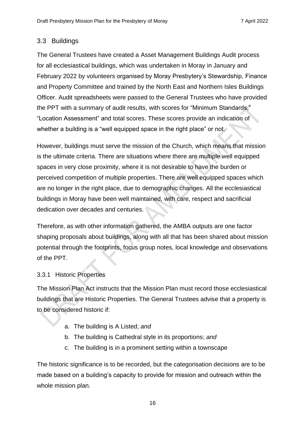#### <span id="page-15-0"></span>3.3 Buildings

The General Trustees have created a Asset Management Buildings Audit process for all ecclesiastical buildings, which was undertaken in Moray in January and February 2022 by volunteers organised by Moray Presbytery's Stewardship, Finance and Property Committee and trained by the North East and Northern Isles Buildings Officer. Audit spreadsheets were passed to the General Trustees who have provided the PPT with a summary of audit results, with scores for "Minimum Standards," "Location Assessment" and total scores. These scores provide an indication of whether a building is a "well equipped space in the right place" or not.

However, buildings must serve the mission of the Church, which means that mission is the ultimate criteria. There are situations where there are multiple well equipped spaces in very close proximity, where it is not desirable to have the burden or perceived competition of multiple properties. There are well equipped spaces which are no longer in the right place, due to demographic changes. All the ecclesiastical buildings in Moray have been well maintained, with care, respect and sacrificial dedication over decades and centuries.

Therefore, as with other information gathered, the AMBA outputs are one factor shaping proposals about buildings, along with all that has been shared about mission potential through the footprints, focus group notes, local knowledge and observations of the PPT.

#### <span id="page-15-1"></span>3.3.1 Historic Properties

The Mission Plan Act instructs that the Mission Plan must record those ecclesiastical buildings that are Historic Properties. The General Trustees advise that a property is to be considered historic if:

- a. The building is A Listed; *and*
- b. The building is Cathedral style in its proportions; *and*
- c. The building is in a prominent setting within a townscape

The historic significance is to be recorded, but the categorisation decisions are to be made based on a building's capacity to provide for mission and outreach within the whole mission plan.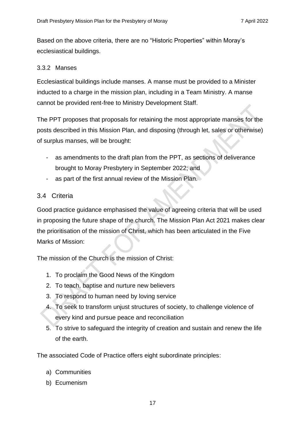Based on the above criteria, there are no "Historic Properties" within Moray's ecclesiastical buildings.

#### <span id="page-16-0"></span>3.3.2 Manses

Ecclesiastical buildings include manses. A manse must be provided to a Minister inducted to a charge in the mission plan, including in a Team Ministry. A manse cannot be provided rent-free to Ministry Development Staff.

The PPT proposes that proposals for retaining the most appropriate manses for the posts described in this Mission Plan, and disposing (through let, sales or otherwise) of surplus manses, will be brought:

- as amendments to the draft plan from the PPT, as sections of deliverance brought to Moray Presbytery in September 2022; and
- as part of the first annual review of the Mission Plan.

### <span id="page-16-1"></span>3.4 Criteria

Good practice guidance emphasised the value of agreeing criteria that will be used in proposing the future shape of the church. The Mission Plan Act 2021 makes clear the prioritisation of the mission of Christ, which has been articulated in the Five Marks of Mission:

The mission of the Church is the mission of Christ:

- 1. To proclaim the Good News of the Kingdom
- 2. To teach, baptise and nurture new believers
- 3. To respond to human need by loving service
- 4. To seek to transform unjust structures of society, to challenge violence of every kind and pursue peace and reconciliation
- 5. To strive to safeguard the integrity of creation and sustain and renew the life of the earth.

The associated Code of Practice offers eight subordinate principles:

- a) Communities
- b) Ecumenism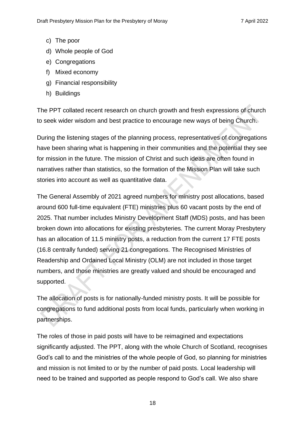- c) The poor
- d) Whole people of God
- e) Congregations
- f) Mixed economy
- g) Financial responsibility
- h) Buildings

The PPT collated recent research on church growth and fresh expressions of church to seek wider wisdom and best practice to encourage new ways of being Church.

During the listening stages of the planning process, representatives of congregations have been sharing what is happening in their communities and the potential they see for mission in the future. The mission of Christ and such ideas are often found in narratives rather than statistics, so the formation of the Mission Plan will take such stories into account as well as quantitative data.

The General Assembly of 2021 agreed numbers for ministry post allocations, based around 600 full-time equivalent (FTE) ministries plus 60 vacant posts by the end of 2025. That number includes Ministry Development Staff (MDS) posts, and has been broken down into allocations for existing presbyteries. The current Moray Presbytery has an allocation of 11.5 ministry posts, a reduction from the current 17 FTE posts (16.8 centrally funded) serving 21 congregations. The Recognised Ministries of Readership and Ordained Local Ministry (OLM) are not included in those target numbers, and those ministries are greatly valued and should be encouraged and supported.

The allocation of posts is for nationally-funded ministry posts. It will be possible for congregations to fund additional posts from local funds, particularly when working in partnerships.

The roles of those in paid posts will have to be reimagined and expectations significantly adjusted. The PPT, along with the whole Church of Scotland, recognises God's call to and the ministries of the whole people of God, so planning for ministries and mission is not limited to or by the number of paid posts. Local leadership will need to be trained and supported as people respond to God's call. We also share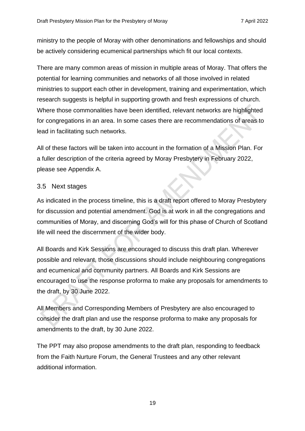ministry to the people of Moray with other denominations and fellowships and should be actively considering ecumenical partnerships which fit our local contexts.

There are many common areas of mission in multiple areas of Moray. That offers the potential for learning communities and networks of all those involved in related ministries to support each other in development, training and experimentation, which research suggests is helpful in supporting growth and fresh expressions of church. Where those commonalities have been identified, relevant networks are highlighted for congregations in an area. In some cases there are recommendations of areas to lead in facilitating such networks.

All of these factors will be taken into account in the formation of a Mission Plan. For a fuller description of the criteria agreed by Moray Presbytery in February 2022, please see Appendix A.

#### <span id="page-18-0"></span>3.5 Next stages

As indicated in the process timeline, this is a draft report offered to Moray Presbytery for discussion and potential amendment. God is at work in all the congregations and communities of Moray, and discerning God's will for this phase of Church of Scotland life will need the discernment of the wider body.

All Boards and Kirk Sessions are encouraged to discuss this draft plan. Wherever possible and relevant, those discussions should include neighbouring congregations and ecumenical and community partners. All Boards and Kirk Sessions are encouraged to use the response proforma to make any proposals for amendments to the draft, by 30 June 2022.

All Members and Corresponding Members of Presbytery are also encouraged to consider the draft plan and use the response proforma to make any proposals for amendments to the draft, by 30 June 2022.

The PPT may also propose amendments to the draft plan, responding to feedback from the Faith Nurture Forum, the General Trustees and any other relevant additional information.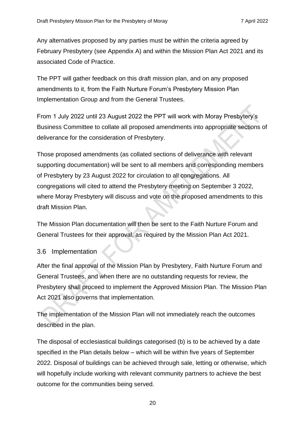Any alternatives proposed by any parties must be within the criteria agreed by February Presbytery (see Appendix A) and within the Mission Plan Act 2021 and its associated Code of Practice.

The PPT will gather feedback on this draft mission plan, and on any proposed amendments to it, from the Faith Nurture Forum's Presbytery Mission Plan Implementation Group and from the General Trustees.

From 1 July 2022 until 23 August 2022 the PPT will work with Moray Presbytery's Business Committee to collate all proposed amendments into appropriate sections of deliverance for the consideration of Presbytery.

Those proposed amendments (as collated sections of deliverance with relevant supporting documentation) will be sent to all members and corresponding members of Presbytery by 23 August 2022 for circulation to all congregations. All congregations will cited to attend the Presbytery meeting on September 3 2022, where Moray Presbytery will discuss and vote on the proposed amendments to this draft Mission Plan.

The Mission Plan documentation will then be sent to the Faith Nurture Forum and General Trustees for their approval, as required by the Mission Plan Act 2021.

#### <span id="page-19-0"></span>3.6 Implementation

After the final approval of the Mission Plan by Presbytery, Faith Nurture Forum and General Trustees, and when there are no outstanding requests for review, the Presbytery shall proceed to implement the Approved Mission Plan. The Mission Plan Act 2021 also governs that implementation.

The implementation of the Mission Plan will not immediately reach the outcomes described in the plan.

The disposal of ecclesiastical buildings categorised (b) is to be achieved by a date specified in the Plan details below – which will be within five years of September 2022. Disposal of buildings can be achieved through sale, letting or otherwise, which will hopefully include working with relevant community partners to achieve the best outcome for the communities being served.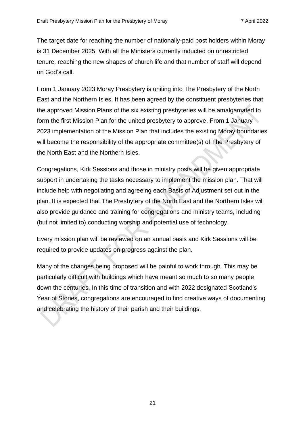The target date for reaching the number of nationally-paid post holders within Moray is 31 December 2025. With all the Ministers currently inducted on unrestricted tenure, reaching the new shapes of church life and that number of staff will depend on God's call.

From 1 January 2023 Moray Presbytery is uniting into The Presbytery of the North East and the Northern Isles. It has been agreed by the constituent presbyteries that the approved Mission Plans of the six existing presbyteries will be amalgamated to form the first Mission Plan for the united presbytery to approve. From 1 January 2023 implementation of the Mission Plan that includes the existing Moray boundaries will become the responsibility of the appropriate committee(s) of The Presbytery of the North East and the Northern Isles.

Congregations, Kirk Sessions and those in ministry posts will be given appropriate support in undertaking the tasks necessary to implement the mission plan. That will include help with negotiating and agreeing each Basis of Adjustment set out in the plan. It is expected that The Presbytery of the North East and the Northern Isles will also provide guidance and training for congregations and ministry teams, including (but not limited to) conducting worship and potential use of technology.

Every mission plan will be reviewed on an annual basis and Kirk Sessions will be required to provide updates on progress against the plan.

Many of the changes being proposed will be painful to work through. This may be particularly difficult with buildings which have meant so much to so many people down the centuries. In this time of transition and with 2022 designated Scotland's Year of Stories, congregations are encouraged to find creative ways of documenting and celebrating the history of their parish and their buildings.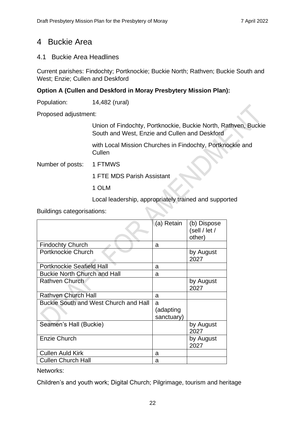# <span id="page-21-0"></span>4 Buckie Area

## <span id="page-21-1"></span>4.1 Buckie Area Headlines

Current parishes: Findochty; Portknockie; Buckie North; Rathven; Buckie South and West; Enzie; Cullen and Deskford

## **Option A (Cullen and Deskford in Moray Presbytery Mission Plan):**

Population: 14,482 (rural)

Proposed adjustment:

Union of Findochty, Portknockie, Buckie North, Rathven, Buckie South and West, Enzie and Cullen and Deskford

with Local Mission Churches in Findochty, Portknockie and **Cullen** 

Number of posts: 1 FTMWS

1 FTE MDS Parish Assistant

1 OLM

Local leadership, appropriately trained and supported

Buildings categorisations:

|                                       | ∖(a) Retain | (b) Dispose   |
|---------------------------------------|-------------|---------------|
|                                       |             | (sell / let / |
|                                       |             | other)        |
| <b>Findochty Church</b>               | a           |               |
| Portknockie Church                    |             | by August     |
|                                       |             | 2027          |
| <b>Portknockie Seafield Hall</b>      | a           |               |
| <b>Buckie North Church and Hall</b>   | a           |               |
| <b>Rathven Church</b>                 |             | by August     |
|                                       |             | 2027          |
| <b>Rathven Church Hall</b>            | a           |               |
| Buckie South and West Church and Hall | a           |               |
|                                       | (adapting   |               |
|                                       | sanctuary)  |               |
| Seamen's Hall (Buckie)                |             | by August     |
|                                       |             | 2027          |
| <b>Enzie Church</b>                   |             | by August     |
|                                       |             | 2027          |
| <b>Cullen Auld Kirk</b>               | a           |               |
| <b>Cullen Church Hall</b>             | a           |               |

Networks:

Children's and youth work; Digital Church; Pilgrimage, tourism and heritage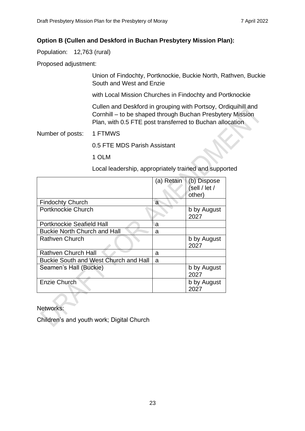#### **Option B (Cullen and Deskford in Buchan Presbytery Mission Plan):**

Population: 12,763 (rural)

Proposed adjustment:

Union of Findochty, Portknockie, Buckie North, Rathven, Buckie South and West and Enzie

with Local Mission Churches in Findochty and Portknockie

Cullen and Deskford in grouping with Portsoy, Ordiquihill and Cornhill – to be shaped through Buchan Presbytery Mission Plan, with 0.5 FTE post transferred to Buchan allocation

Number of posts: 1 FTMWS

0.5 FTE MDS Parish Assistant

1 OLM

Local leadership, appropriately trained and supported

|                                       | (a) Retain | (b) Dispose<br>sell / let /<br>other) |
|---------------------------------------|------------|---------------------------------------|
| <b>Findochty Church</b>               | a          |                                       |
| Portknockie Church                    |            | b by August<br>2027                   |
| <b>Portknockie Seafield Hall</b>      | a          |                                       |
| <b>Buckie North Church and Hall</b>   | a          |                                       |
| Rathven Church                        |            | b by August<br>2027                   |
| <b>Rathven Church Hall</b>            | a          |                                       |
| Buckie South and West Church and Hall | a          |                                       |
| Seamen's Hall (Buckie)                |            | b by August<br>2027                   |
| Enzie Church                          |            | b by August<br>2027                   |

Networks:

Children's and youth work; Digital Church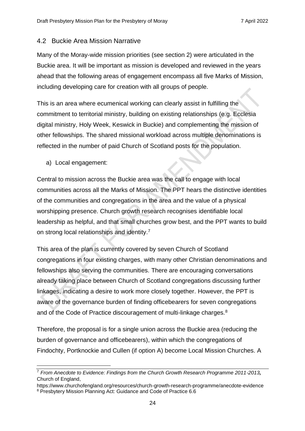#### <span id="page-23-0"></span>4.2 Buckie Area Mission Narrative

Many of the Moray-wide mission priorities (see section 2) were articulated in the Buckie area. It will be important as mission is developed and reviewed in the years ahead that the following areas of engagement encompass all five Marks of Mission, including developing care for creation with all groups of people.

This is an area where ecumenical working can clearly assist in fulfilling the commitment to territorial ministry, building on existing relationships (e.g. Ecclesia digital ministry, Holy Week, Keswick in Buckie) and complementing the mission of other fellowships. The shared missional workload across multiple denominations is reflected in the number of paid Church of Scotland posts for the population.

a) Local engagement:

Central to mission across the Buckie area was the call to engage with local communities across all the Marks of Mission. The PPT hears the distinctive identities of the communities and congregations in the area and the value of a physical worshipping presence. Church growth research recognises identifiable local leadership as helpful, and that small churches grow best, and the PPT wants to build on strong local relationships and identity.<sup>7</sup>

This area of the plan is currently covered by seven Church of Scotland congregations in four existing charges, with many other Christian denominations and fellowships also serving the communities. There are encouraging conversations already taking place between Church of Scotland congregations discussing further linkages, indicating a desire to work more closely together. However, the PPT is aware of the governance burden of finding officebearers for seven congregations and of the Code of Practice discouragement of multi-linkage charges.<sup>8</sup>

Therefore, the proposal is for a single union across the Buckie area (reducing the burden of governance and officebearers), within which the congregations of Findochty, Portknockie and Cullen (if option A) become Local Mission Churches. A

<sup>7</sup> *From Anecdote to Evidence: Findings from the Church Growth Research Programme 2011-2013,*  Church of England,

<https://www.churchofengland.org/resources/church-growth-research-programme/anecdote-evidence> <sup>8</sup> Presbytery Mission Planning Act: Guidance and Code of Practice 6.6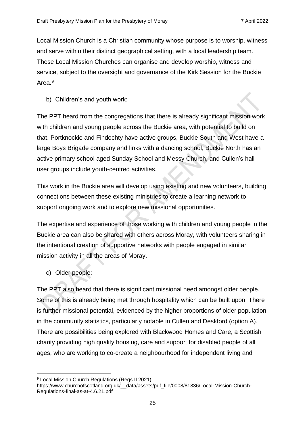Local Mission Church is a Christian community whose purpose is to worship, witness and serve within their distinct geographical setting, with a local leadership team. These Local Mission Churches can organise and develop worship, witness and service, subject to the oversight and governance of the Kirk Session for the Buckie Area.<sup>9</sup>

b) Children's and youth work:

The PPT heard from the congregations that there is already significant mission work with children and young people across the Buckie area, with potential to build on that. Portknockie and Findochty have active groups, Buckie South and West have a large Boys Brigade company and links with a dancing school, Buckie North has an active primary school aged Sunday School and Messy Church, and Cullen's hall user groups include youth-centred activities.

This work in the Buckie area will develop using existing and new volunteers, building connections between these existing ministries to create a learning network to support ongoing work and to explore new missional opportunities.

The expertise and experience of those working with children and young people in the Buckie area can also be shared with others across Moray, with volunteers sharing in the intentional creation of supportive networks with people engaged in similar mission activity in all the areas of Moray.

c) Older people:

The PPT also heard that there is significant missional need amongst older people. Some of this is already being met through hospitality which can be built upon. There is further missional potential, evidenced by the higher proportions of older population in the community statistics, particularly notable in Cullen and Deskford (option A). There are possibilities being explored with Blackwood Homes and Care, a Scottish charity providing high quality housing, care and support for disabled people of all ages, who are working to co-create a neighbourhood for independent living and

<sup>&</sup>lt;sup>9</sup> Local Mission Church Regulations (Regs II 2021)

https://www.churchofscotland.org.uk/\_\_data/assets/pdf\_file/0008/81836/Local-Mission-Church-Regulations-final-as-at-4.6.21.pdf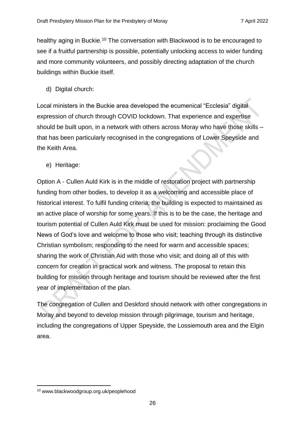healthy aging in Buckie.<sup>10</sup> The conversation with Blackwood is to be encouraged to see if a fruitful partnership is possible, potentially unlocking access to wider funding and more community volunteers, and possibly directing adaptation of the church buildings within Buckie itself.

d) Digital church:

Local ministers in the Buckie area developed the ecumenical "Ecclesia" digital expression of church through COVID lockdown. That experience and expertise should be built upon, in a network with others across Moray who have those skills – that has been particularly recognised in the congregations of Lower Speyside and the Keith Area.

e) Heritage:

Option A - Cullen Auld Kirk is in the middle of restoration project with partnership funding from other bodies, to develop it as a welcoming and accessible place of historical interest. To fulfil funding criteria, the building is expected to maintained as an active place of worship for some years. If this is to be the case, the heritage and tourism potential of Cullen Auld Kirk must be used for mission: proclaiming the Good News of God's love and welcome to those who visit; teaching through its distinctive Christian symbolism; responding to the need for warm and accessible spaces; sharing the work of Christian Aid with those who visit; and doing all of this with concern for creation in practical work and witness. The proposal to retain this building for mission through heritage and tourism should be reviewed after the first year of implementation of the plan.

The congregation of Cullen and Deskford should network with other congregations in Moray and beyond to develop mission through pilgrimage, tourism and heritage, including the congregations of Upper Speyside, the Lossiemouth area and the Elgin area.

<sup>10</sup> www.blackwoodgroup.org.uk/peoplehood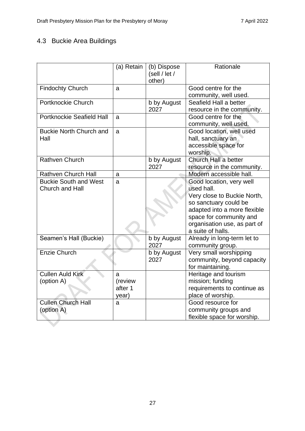# <span id="page-26-0"></span>4.3 Buckie Area Buildings

|                                                        | (a) Retain                       | (b) Dispose<br>(sell / let /<br>other) | Rationale                                                                                                                                                                                                      |
|--------------------------------------------------------|----------------------------------|----------------------------------------|----------------------------------------------------------------------------------------------------------------------------------------------------------------------------------------------------------------|
| <b>Findochty Church</b>                                | a                                |                                        | Good centre for the<br>community, well used.                                                                                                                                                                   |
| <b>Portknockie Church</b>                              |                                  | b by August<br>2027                    | Seafield Hall a better<br>resource in the community.                                                                                                                                                           |
| <b>Portknockie Seafield Hall</b>                       | a                                |                                        | Good centre for the<br>community, well used.                                                                                                                                                                   |
| <b>Buckie North Church and</b><br>Hall                 | a                                |                                        | Good location, well used<br>hall, sanctuary an<br>accessible space for<br>worship.                                                                                                                             |
| <b>Rathven Church</b>                                  |                                  | b by August<br>2027                    | Church Hall a better<br>resource in the community.                                                                                                                                                             |
| <b>Rathven Church Hall</b>                             | a                                |                                        | Modern accessible hall.                                                                                                                                                                                        |
| <b>Buckie South and West</b><br><b>Church and Hall</b> | a                                |                                        | Good location, very well<br>used hall.<br>Very close to Buckie North,<br>so sanctuary could be<br>adapted into a more flexible<br>space for community and<br>organisation use, as part of<br>a suite of halls. |
| Seamen's Hall (Buckie)                                 |                                  | b by August<br>2027                    | Already in long-term let to<br>community group.                                                                                                                                                                |
| <b>Enzie Church</b>                                    |                                  | b by August<br>2027                    | Very small worshipping<br>community, beyond capacity<br>for maintaining.                                                                                                                                       |
| <b>Cullen Auld Kirk</b><br>(option A)                  | a<br>(review<br>after 1<br>year) |                                        | Heritage and tourism<br>mission; funding<br>requirements to continue as<br>place of worship.                                                                                                                   |
| <b>Cullen Church Hall</b><br>(option A)                | a                                |                                        | Good resource for<br>community groups and<br>flexible space for worship.                                                                                                                                       |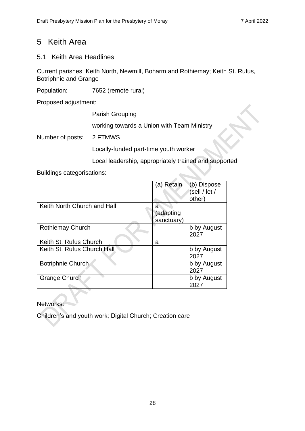# <span id="page-27-0"></span>5 Keith Area

# <span id="page-27-1"></span>5.1 Keith Area Headlines

Current parishes: Keith North, Newmill, Boharm and Rothiemay; Keith St. Rufus, Botriphnie and Grange

Population: 7652 (remote rural)

Proposed adjustment:

Parish Grouping working towards a Union with Team Ministry Number of posts: 2 FTMWS Locally-funded part-time youth worker

Local leadership, appropriately trained and supported

## Buildings categorisations:

|                             | (a) Retain                   | (b) Dispose<br>sell / let /<br>other) |
|-----------------------------|------------------------------|---------------------------------------|
| Keith North Church and Hall | a<br>(adapting<br>sanctuary) |                                       |
| <b>Rothiemay Church</b>     |                              | b by August<br>2027                   |
| Keith St. Rufus Church      | a                            |                                       |
| Keith St. Rufus Church Hall |                              | b by August<br>2027                   |
| <b>Botriphnie Church</b>    |                              | b by August<br>2027                   |
| <b>Grange Church</b>        |                              | b by August<br>2027                   |

Networks:

Children's and youth work; Digital Church; Creation care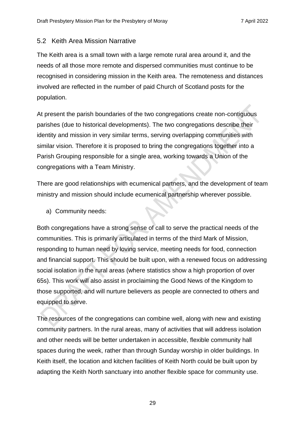#### <span id="page-28-0"></span>5.2 Keith Area Mission Narrative

The Keith area is a small town with a large remote rural area around it, and the needs of all those more remote and dispersed communities must continue to be recognised in considering mission in the Keith area. The remoteness and distances involved are reflected in the number of paid Church of Scotland posts for the population.

At present the parish boundaries of the two congregations create non-contiguous parishes (due to historical developments). The two congregations describe their identity and mission in very similar terms, serving overlapping communities with similar vision. Therefore it is proposed to bring the congregations together into a Parish Grouping responsible for a single area, working towards a Union of the congregations with a Team Ministry.

There are good relationships with ecumenical partners, and the development of team ministry and mission should include ecumenical partnership wherever possible.

a) Community needs:

Both congregations have a strong sense of call to serve the practical needs of the communities. This is primarily articulated in terms of the third Mark of Mission, responding to human need by loving service, meeting needs for food, connection and financial support. This should be built upon, with a renewed focus on addressing social isolation in the rural areas (where statistics show a high proportion of over 65s). This work will also assist in proclaiming the Good News of the Kingdom to those supported, and will nurture believers as people are connected to others and equipped to serve.

The resources of the congregations can combine well, along with new and existing community partners. In the rural areas, many of activities that will address isolation and other needs will be better undertaken in accessible, flexible community hall spaces during the week, rather than through Sunday worship in older buildings. In Keith itself, the location and kitchen facilities of Keith North could be built upon by adapting the Keith North sanctuary into another flexible space for community use.

29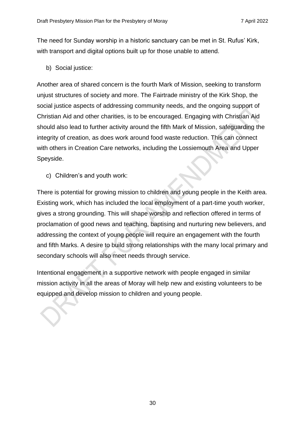The need for Sunday worship in a historic sanctuary can be met in St. Rufus' Kirk, with transport and digital options built up for those unable to attend.

b) Social justice:

Another area of shared concern is the fourth Mark of Mission, seeking to transform unjust structures of society and more. The Fairtrade ministry of the Kirk Shop, the social justice aspects of addressing community needs, and the ongoing support of Christian Aid and other charities, is to be encouraged. Engaging with Christian Aid should also lead to further activity around the fifth Mark of Mission, safeguarding the integrity of creation, as does work around food waste reduction. This can connect with others in Creation Care networks, including the Lossiemouth Area and Upper Speyside.

c) Children's and youth work:

There is potential for growing mission to children and young people in the Keith area. Existing work, which has included the local employment of a part-time youth worker, gives a strong grounding. This will shape worship and reflection offered in terms of proclamation of good news and teaching, baptising and nurturing new believers, and addressing the context of young people will require an engagement with the fourth and fifth Marks. A desire to build strong relationships with the many local primary and secondary schools will also meet needs through service.

Intentional engagement in a supportive network with people engaged in similar mission activity in all the areas of Moray will help new and existing volunteers to be equipped and develop mission to children and young people.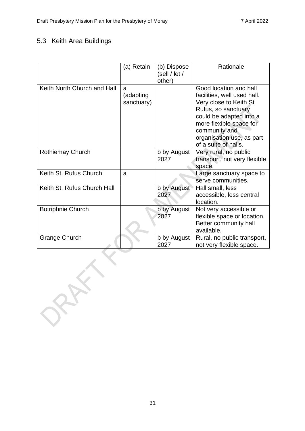# <span id="page-30-0"></span>5.3 Keith Area Buildings

|                             | (a) Retain                   | (b) Dispose         | Rationale                                                                                                                                                                                                  |
|-----------------------------|------------------------------|---------------------|------------------------------------------------------------------------------------------------------------------------------------------------------------------------------------------------------------|
|                             |                              | (self / let /       |                                                                                                                                                                                                            |
|                             |                              | other)              |                                                                                                                                                                                                            |
| Keith North Church and Hall | a<br>(adapting<br>sanctuary) |                     | Good location and hall<br>facilities, well used hall.<br>Very close to Keith St<br>Rufus, so sanctuary<br>could be adapted into a<br>more flexible space for<br>community and<br>organisation use, as part |
|                             |                              |                     | of a suite of halls.                                                                                                                                                                                       |
| <b>Rothiemay Church</b>     |                              | b by August<br>2027 | Very rural, no public<br>transport, not very flexible<br>space.                                                                                                                                            |
| Keith St. Rufus Church      | a                            |                     | Large sanctuary space to<br>serve communities.                                                                                                                                                             |
| Keith St. Rufus Church Hall |                              | b by August<br>2027 | Hall small, less<br>accessible, less central<br>location.                                                                                                                                                  |
| <b>Botriphnie Church</b>    |                              | b by August<br>2027 | Not very accessible or<br>flexible space or location.<br>Better community hall<br>available.                                                                                                               |
| <b>Grange Church</b>        |                              | b by August<br>2027 | Rural, no public transport,<br>not very flexible space.                                                                                                                                                    |
| $\mathcal{R}^{\mathbf{y}}$  |                              |                     |                                                                                                                                                                                                            |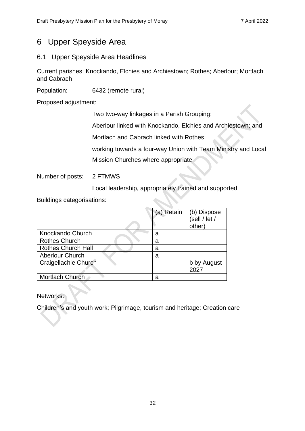# <span id="page-31-0"></span>6 Upper Speyside Area

# <span id="page-31-1"></span>6.1 Upper Speyside Area Headlines

Current parishes: Knockando, Elchies and Archiestown; Rothes; Aberlour; Mortlach and Cabrach

Population: 6432 (remote rural)

Proposed adjustment:

Two two-way linkages in a Parish Grouping:

Aberlour linked with Knockando, Elchies and Archiestown; and

Mortlach and Cabrach linked with Rothes;

working towards a four-way Union with Team Ministry and Local

Mission Churches where appropriate

Number of posts: 2 FTMWS

Local leadership, appropriately trained and supported

Buildings categorisations:

|                           | (a) Retain | (b) Dispose<br>(sell / let /<br>other) |
|---------------------------|------------|----------------------------------------|
| Knockando Church          | а          |                                        |
| <b>Rothes Church</b>      | а          |                                        |
| <b>Rothes Church Hall</b> | а          |                                        |
| <b>Aberlour Church</b>    | а          |                                        |
| Craigellachie Church      |            | b by August                            |
|                           |            | 2027                                   |
| Mortlach Church           | а          |                                        |

Networks:

Children's and youth work; Pilgrimage, tourism and heritage; Creation care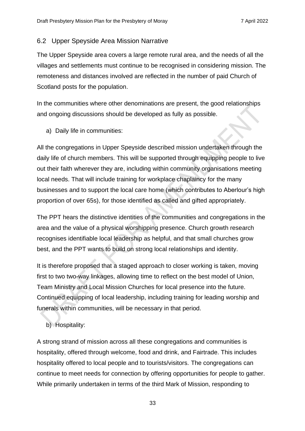## <span id="page-32-0"></span>6.2 Upper Speyside Area Mission Narrative

The Upper Speyside area covers a large remote rural area, and the needs of all the villages and settlements must continue to be recognised in considering mission. The remoteness and distances involved are reflected in the number of paid Church of Scotland posts for the population.

In the communities where other denominations are present, the good relationships and ongoing discussions should be developed as fully as possible.

a) Daily life in communities:

All the congregations in Upper Speyside described mission undertaken through the daily life of church members. This will be supported through equipping people to live out their faith wherever they are, including within community organisations meeting local needs. That will include training for workplace chaplaincy for the many businesses and to support the local care home (which contributes to Aberlour's high proportion of over 65s), for those identified as called and gifted appropriately.

The PPT hears the distinctive identities of the communities and congregations in the area and the value of a physical worshipping presence. Church growth research recognises identifiable local leadership as helpful, and that small churches grow best, and the PPT wants to build on strong local relationships and identity.

It is therefore proposed that a staged approach to closer working is taken, moving first to two two-way linkages, allowing time to reflect on the best model of Union, Team Ministry and Local Mission Churches for local presence into the future. Continued equipping of local leadership, including training for leading worship and funerals within communities, will be necessary in that period.

# b) Hospitality:

A strong strand of mission across all these congregations and communities is hospitality, offered through welcome, food and drink, and Fairtrade. This includes hospitality offered to local people and to tourists/visitors. The congregations can continue to meet needs for connection by offering opportunities for people to gather. While primarily undertaken in terms of the third Mark of Mission, responding to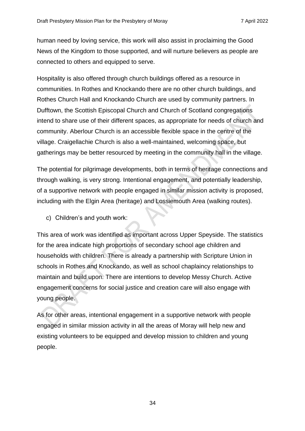human need by loving service, this work will also assist in proclaiming the Good News of the Kingdom to those supported, and will nurture believers as people are connected to others and equipped to serve.

Hospitality is also offered through church buildings offered as a resource in communities. In Rothes and Knockando there are no other church buildings, and Rothes Church Hall and Knockando Church are used by community partners. In Dufftown, the Scottish Episcopal Church and Church of Scotland congregations intend to share use of their different spaces, as appropriate for needs of church and community. Aberlour Church is an accessible flexible space in the centre of the village. Craigellachie Church is also a well-maintained, welcoming space, but gatherings may be better resourced by meeting in the community hall in the village.

The potential for pilgrimage developments, both in terms of heritage connections and through walking, is very strong. Intentional engagement, and potentially leadership, of a supportive network with people engaged in similar mission activity is proposed, including with the Elgin Area (heritage) and Lossiemouth Area (walking routes).

c) Children's and youth work:

This area of work was identified as important across Upper Speyside. The statistics for the area indicate high proportions of secondary school age children and households with children. There is already a partnership with Scripture Union in schools in Rothes and Knockando, as well as school chaplaincy relationships to maintain and build upon. There are intentions to develop Messy Church. Active engagement concerns for social justice and creation care will also engage with young people.

As for other areas, intentional engagement in a supportive network with people engaged in similar mission activity in all the areas of Moray will help new and existing volunteers to be equipped and develop mission to children and young people.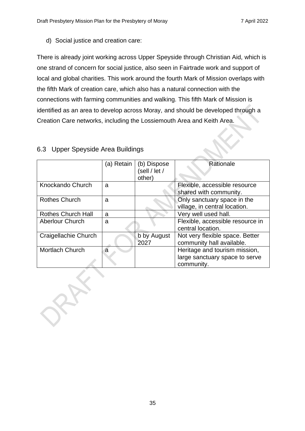d) Social justice and creation care:

There is already joint working across Upper Speyside through Christian Aid, which is one strand of concern for social justice, also seen in Fairtrade work and support of local and global charities. This work around the fourth Mark of Mission overlaps with the fifth Mark of creation care, which also has a natural connection with the connections with farming communities and walking. This fifth Mark of Mission is identified as an area to develop across Moray, and should be developed through a Creation Care networks, including the Lossiemouth Area and Keith Area.

|                           | (a) Retain | (b) Dispose<br>(sell / let /<br>other) | Rationale                                                                     |
|---------------------------|------------|----------------------------------------|-------------------------------------------------------------------------------|
| Knockando Church          | a          |                                        | Flexible, accessible resource<br>shared with community.                       |
| <b>Rothes Church</b>      | a          |                                        | Only sanctuary space in the<br>village, in central location.                  |
| <b>Rothes Church Hall</b> | a          |                                        | Very well used hall.                                                          |
| <b>Aberlour Church</b>    | a          |                                        | Flexible, accessible resource in<br>central location.                         |
| Craigellachie Church      |            | b by August<br>2027                    | Not very flexible space. Better<br>community hall available.                  |
| <b>Mortlach Church</b>    | a          |                                        | Heritage and tourism mission,<br>large sanctuary space to serve<br>community. |

# <span id="page-34-0"></span>6.3 Upper Speyside Area Buildings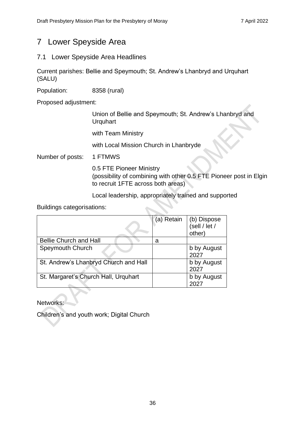# <span id="page-35-0"></span>7 Lower Speyside Area

## <span id="page-35-1"></span>7.1 Lower Speyside Area Headlines

Current parishes: Bellie and Speymouth; St. Andrew's Lhanbryd and Urquhart (SALU)

Population: 8358 (rural)

Proposed adjustment:

Union of Bellie and Speymouth; St. Andrew's Lhanbryd and **Urquhart** 

with Team Ministry

with Local Mission Church in Lhanbryde

Number of posts: 1 FTMWS

0.5 FTE Pioneer Ministry (possibility of combining with other 0.5 FTE Pioneer post in Elgin to recruit 1FTE across both areas)

Local leadership, appropriately trained and supported

Buildings categorisations:

|                                       | (a) Retain | (b) Dispose<br>(sell / let /<br>other) |
|---------------------------------------|------------|----------------------------------------|
| <b>Bellie Church and Hall</b>         | а          |                                        |
| Speymouth Church                      |            | b by August<br>2027                    |
| St. Andrew's Lhanbryd Church and Hall |            | b by August<br>2027                    |
| St. Margaret's Church Hall, Urquhart  |            | b by August                            |

**Networks** 

Children's and youth work; Digital Church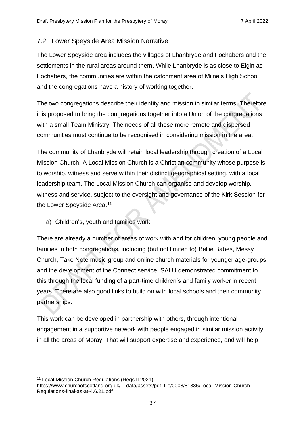## <span id="page-36-0"></span>7.2 Lower Speyside Area Mission Narrative

The Lower Speyside area includes the villages of Lhanbryde and Fochabers and the settlements in the rural areas around them. While Lhanbryde is as close to Elgin as Fochabers, the communities are within the catchment area of Milne's High School and the congregations have a history of working together.

The two congregations describe their identity and mission in similar terms. Therefore it is proposed to bring the congregations together into a Union of the congregations with a small Team Ministry. The needs of all those more remote and dispersed communities must continue to be recognised in considering mission in the area.

The community of Lhanbryde will retain local leadership through creation of a Local Mission Church. A Local Mission Church is a Christian community whose purpose is to worship, witness and serve within their distinct geographical setting, with a local leadership team. The Local Mission Church can organise and develop worship, witness and service, subject to the oversight and governance of the Kirk Session for the Lower Speyside Area.<sup>11</sup>

a) Children's, youth and families work:

There are already a number of areas of work with and for children, young people and families in both congregations, including (but not limited to) Bellie Babes, Messy Church, Take Note music group and online church materials for younger age-groups and the development of the Connect service. SALU demonstrated commitment to this through the local funding of a part-time children's and family worker in recent years. There are also good links to build on with local schools and their community partnerships.

This work can be developed in partnership with others, through intentional engagement in a supportive network with people engaged in similar mission activity in all the areas of Moray. That will support expertise and experience, and will help

<sup>11</sup> Local Mission Church Regulations (Regs II 2021)

https://www.churchofscotland.org.uk/ data/assets/pdf file/0008/81836/Local-Mission-Church-Regulations-final-as-at-4.6.21.pdf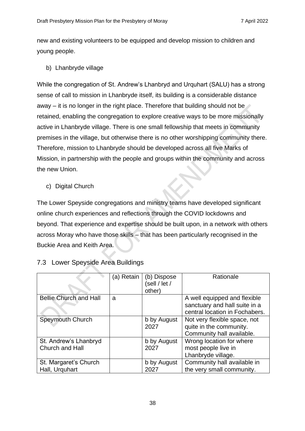new and existing volunteers to be equipped and develop mission to children and young people.

b) Lhanbryde village

While the congregation of St. Andrew's Lhanbryd and Urquhart (SALU) has a strong sense of call to mission in Lhanbryde itself, its building is a considerable distance away – it is no longer in the right place. Therefore that building should not be retained, enabling the congregation to explore creative ways to be more missionally active in Lhanbryde village. There is one small fellowship that meets in community premises in the village, but otherwise there is no other worshipping community there. Therefore, mission to Lhanbryde should be developed across all five Marks of Mission, in partnership with the people and groups within the community and across the new Union.

c) Digital Church

The Lower Speyside congregations and ministry teams have developed significant online church experiences and reflections through the COVID lockdowns and beyond. That experience and expertise should be built upon, in a network with others across Moray who have those skills – that has been particularly recognised in the Buckie Area and Keith Area.

|                                          | (a) Retain | (b) Dispose<br>sell / let /<br>other) | Rationale                                                                                       |
|------------------------------------------|------------|---------------------------------------|-------------------------------------------------------------------------------------------------|
| <b>Bellie Church and Hall</b>            | a          |                                       | A well equipped and flexible<br>sanctuary and hall suite in a<br>central location in Fochabers. |
| Speymouth Church                         |            | b by August<br>2027                   | Not very flexible space, not<br>quite in the community.<br>Community hall available.            |
| St. Andrew's Lhanbryd<br>Church and Hall |            | b by August<br>2027                   | Wrong location for where<br>most people live in<br>Lhanbryde village.                           |
| St. Margaret's Church<br>Hall, Urguhart  |            | b by August<br>2027                   | Community hall available in<br>the very small community.                                        |

# <span id="page-37-0"></span>7.3 Lower Speyside Area Buildings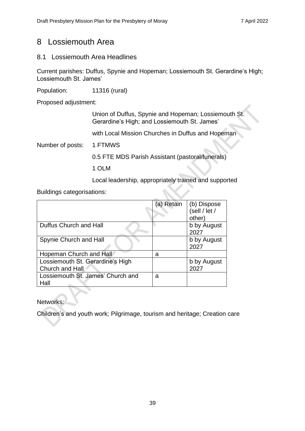# <span id="page-38-0"></span>8 Lossiemouth Area

### <span id="page-38-1"></span>8.1 Lossiemouth Area Headlines

Current parishes: Duffus, Spynie and Hopeman; Lossiemouth St. Gerardine's High; Lossiemouth St. James'

Population: 11316 (rural)

Proposed adjustment:

Union of Duffus, Spynie and Hopeman; Lossiemouth St. Gerardine's High; and Lossiemouth St. James'

with Local Mission Churches in Duffus and Hopeman

Number of posts: 1 FTMWS

0.5 FTE MDS Parish Assistant (pastoral/funerals)

1 OLM

Local leadership, appropriately trained and supported

Buildings categorisations:

|                                                     | (a) Retain | (b) Dispose<br>(sell / let /<br>other) |
|-----------------------------------------------------|------------|----------------------------------------|
| Duffus Church and Hall                              |            | b by August<br>2027                    |
| Spynie Church and Hall                              |            | b by August<br>2027                    |
| Hopeman Church and Hall                             | a          |                                        |
| Lossiemouth St. Gerardine's High<br>Church and Hall |            | b by August<br>2027                    |
| Lossiemouth St. James' Church and<br>Hall           | a          |                                        |

**Networks** 

Children's and youth work; Pilgrimage, tourism and heritage; Creation care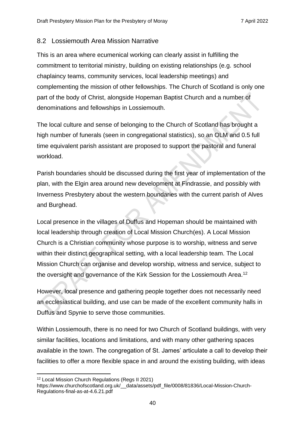#### <span id="page-39-0"></span>8.2 Lossiemouth Area Mission Narrative

This is an area where ecumenical working can clearly assist in fulfilling the commitment to territorial ministry, building on existing relationships (e.g. school chaplaincy teams, community services, local leadership meetings) and complementing the mission of other fellowships. The Church of Scotland is only one part of the body of Christ, alongside Hopeman Baptist Church and a number of denominations and fellowships in Lossiemouth.

The local culture and sense of belonging to the Church of Scotland has brought a high number of funerals (seen in congregational statistics), so an OLM and 0.5 full time equivalent parish assistant are proposed to support the pastoral and funeral workload.

Parish boundaries should be discussed during the first year of implementation of the plan, with the Elgin area around new development at Findrassie, and possibly with Inverness Presbytery about the western boundaries with the current parish of Alves and Burghead.

Local presence in the villages of Duffus and Hopeman should be maintained with local leadership through creation of Local Mission Church(es). A Local Mission Church is a Christian community whose purpose is to worship, witness and serve within their distinct geographical setting, with a local leadership team. The Local Mission Church can organise and develop worship, witness and service, subject to the oversight and governance of the Kirk Session for the Lossiemouth Area.<sup>12</sup>

However, local presence and gathering people together does not necessarily need an ecclesiastical building, and use can be made of the excellent community halls in Duffus and Spynie to serve those communities.

Within Lossiemouth, there is no need for two Church of Scotland buildings, with very similar facilities, locations and limitations, and with many other gathering spaces available in the town. The congregation of St. James' articulate a call to develop their facilities to offer a more flexible space in and around the existing building, with ideas

<sup>12</sup> Local Mission Church Regulations (Regs II 2021)

https://www.churchofscotland.org.uk/ data/assets/pdf file/0008/81836/Local-Mission-Church-Regulations-final-as-at-4.6.21.pdf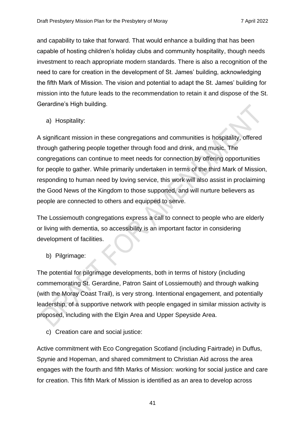and capability to take that forward. That would enhance a building that has been capable of hosting children's holiday clubs and community hospitality, though needs investment to reach appropriate modern standards. There is also a recognition of the need to care for creation in the development of St. James' building, acknowledging the fifth Mark of Mission. The vision and potential to adapt the St. James' building for mission into the future leads to the recommendation to retain it and dispose of the St. Gerardine's High building.

a) Hospitality:

A significant mission in these congregations and communities is hospitality, offered through gathering people together through food and drink, and music. The congregations can continue to meet needs for connection by offering opportunities for people to gather. While primarily undertaken in terms of the third Mark of Mission, responding to human need by loving service, this work will also assist in proclaiming the Good News of the Kingdom to those supported, and will nurture believers as people are connected to others and equipped to serve.

The Lossiemouth congregations express a call to connect to people who are elderly or living with dementia, so accessibility is an important factor in considering development of facilities.

b) Pilgrimage:

The potential for pilgrimage developments, both in terms of history (including commemorating St. Gerardine, Patron Saint of Lossiemouth) and through walking (with the Moray Coast Trail), is very strong. Intentional engagement, and potentially leadership, of a supportive network with people engaged in similar mission activity is proposed, including with the Elgin Area and Upper Speyside Area.

c) Creation care and social justice:

Active commitment with Eco Congregation Scotland (including Fairtrade) in Duffus, Spynie and Hopeman, and shared commitment to Christian Aid across the area engages with the fourth and fifth Marks of Mission: working for social justice and care for creation. This fifth Mark of Mission is identified as an area to develop across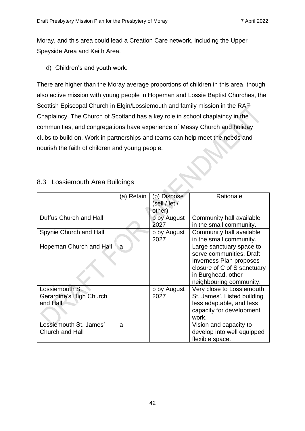Moray, and this area could lead a Creation Care network, including the Upper Speyside Area and Keith Area.

d) Children's and youth work:

There are higher than the Moray average proportions of children in this area, though also active mission with young people in Hopeman and Lossie Baptist Churches, the Scottish Episcopal Church in Elgin/Lossiemouth and family mission in the RAF Chaplaincy. The Church of Scotland has a key role in school chaplaincy in the communities, and congregations have experience of Messy Church and holiday clubs to build on. Work in partnerships and teams can help meet the needs and nourish the faith of children and young people.

|                                                        | (a) Retain | (b) Dispose<br>(sell / let /<br>other) | Rationale                                                                                                                                                       |
|--------------------------------------------------------|------------|----------------------------------------|-----------------------------------------------------------------------------------------------------------------------------------------------------------------|
| Duffus Church and Hall                                 |            | b by August<br>2027                    | Community hall available<br>in the small community.                                                                                                             |
| Spynie Church and Hall                                 |            | b by August<br>2027                    | Community hall available<br>in the small community.                                                                                                             |
| Hopeman Church and Hall                                | a          |                                        | Large sanctuary space to<br>serve communities. Draft<br>Inverness Plan proposes<br>closure of C of S sanctuary<br>in Burghead, other<br>neighbouring community. |
| Lossiemouth St.<br>Gerardine's High Church<br>and Hall |            | b by August<br>2027                    | Very close to Lossiemouth<br>St. James'. Listed building<br>less adaptable, and less<br>capacity for development<br>work.                                       |
| Lossiemouth St. James'<br>Church and Hall              | a          |                                        | Vision and capacity to<br>develop into well equipped<br>flexible space.                                                                                         |

## <span id="page-41-0"></span>8.3 Lossiemouth Area Buildings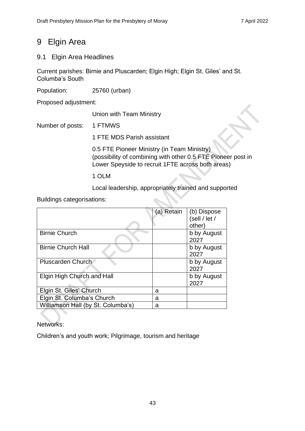# <span id="page-42-0"></span>9 Elgin Area

# <span id="page-42-1"></span>9.1 Elgin Area Headlines

Current parishes: Birnie and Pluscarden; Elgin High; Elgin St. Giles' and St. Columba's South

Population: 25760 (urban)

Proposed adjustment:

Union with Team Ministry

Number of posts: 1 FTMWS

1 FTE MDS Parish assistant

0.5 FTE Pioneer Ministry (in Team Ministry) (possibility of combining with other 0.5 FTE Pioneer post in Lower Speyside to recruit 1FTE across both areas)

1 OLM

Local leadership, appropriately trained and supported

Buildings categorisations:

|                                    | (a) Retain | (b) Dispose<br>(sell / let / |
|------------------------------------|------------|------------------------------|
|                                    |            | other)                       |
| <b>Birnie Church</b>               |            | b by August<br>2027          |
| <b>Birnie Church Hall</b>          |            | b by August<br>2027          |
| <b>Pluscarden Church</b>           |            | b by August<br>2027          |
| Elgin High Church and Hall         |            | b by August<br>2027          |
| Elgin St. Giles' Church            | a          |                              |
| Elgin St. Columba's Church         | а          |                              |
| Williamson Hall (by St. Columba's) | а          |                              |

Networks:

Children's and youth work; Pilgrimage, tourism and heritage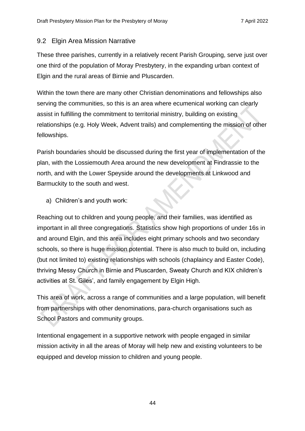# <span id="page-43-0"></span>9.2 Elgin Area Mission Narrative

These three parishes, currently in a relatively recent Parish Grouping, serve just over one third of the population of Moray Presbytery, in the expanding urban context of Elgin and the rural areas of Birnie and Pluscarden.

Within the town there are many other Christian denominations and fellowships also serving the communities, so this is an area where ecumenical working can clearly assist in fulfilling the commitment to territorial ministry, building on existing relationships (e.g. Holy Week, Advent trails) and complementing the mission of other fellowships.

Parish boundaries should be discussed during the first year of implementation of the plan, with the Lossiemouth Area around the new development at Findrassie to the north, and with the Lower Speyside around the developments at Linkwood and Barmuckity to the south and west.

a) Children's and youth work:

Reaching out to children and young people, and their families, was identified as important in all three congregations. Statistics show high proportions of under 16s in and around Elgin, and this area includes eight primary schools and two secondary schools, so there is huge mission potential. There is also much to build on, including (but not limited to) existing relationships with schools (chaplaincy and Easter Code), thriving Messy Church in Birnie and Pluscarden, Sweaty Church and KIX children's activities at St. Giles', and family engagement by Elgin High.

This area of work, across a range of communities and a large population, will benefit from partnerships with other denominations, para-church organisations such as School Pastors and community groups.

Intentional engagement in a supportive network with people engaged in similar mission activity in all the areas of Moray will help new and existing volunteers to be equipped and develop mission to children and young people.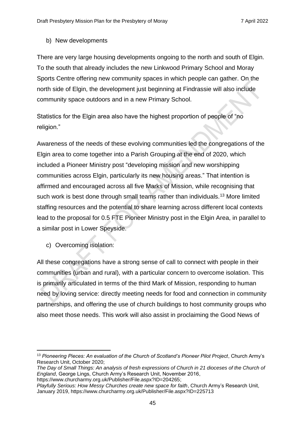#### b) New developments

There are very large housing developments ongoing to the north and south of Elgin. To the south that already includes the new Linkwood Primary School and Moray Sports Centre offering new community spaces in which people can gather. On the north side of Elgin, the development just beginning at Findrassie will also include community space outdoors and in a new Primary School.

Statistics for the Elgin area also have the highest proportion of people of "no religion."

Awareness of the needs of these evolving communities led the congregations of the Elgin area to come together into a Parish Grouping at the end of 2020, which included a Pioneer Ministry post "developing mission and new worshipping communities across Elgin, particularly its new housing areas." That intention is affirmed and encouraged across all five Marks of Mission, while recognising that such work is best done through small teams rather than individuals.<sup>13</sup> More limited staffing resources and the potential to share learning across different local contexts lead to the proposal for 0.5 FTE Pioneer Ministry post in the Elgin Area, in parallel to a similar post in Lower Speyside.

c) Overcoming isolation:

All these congregations have a strong sense of call to connect with people in their communities (urban and rural), with a particular concern to overcome isolation. This is primarily articulated in terms of the third Mark of Mission, responding to human need by loving service: directly meeting needs for food and connection in community partnerships, and offering the use of church buildings to host community groups who also meet those needs. This work will also assist in proclaiming the Good News of

*Playfully Serious: How Messy Churches create new space for faith*, Church Army's Research Unit, January 2019, https://www.churcharmy.org.uk/Publisher/File.aspx?ID=225713

<sup>13</sup> *Pioneering Pieces: An evaluation of the Church of Scotland's Pioneer Pilot Project*, Church Army's Research Unit, October 2020;

*The Day of Small Things: An analysis of fresh expressions of Church in 21 dioceses of the Church of England*, George Lings, Church Army's Research Unit, November 2016, https://www.churcharmy.org.uk/Publisher/File.aspx?ID=204265;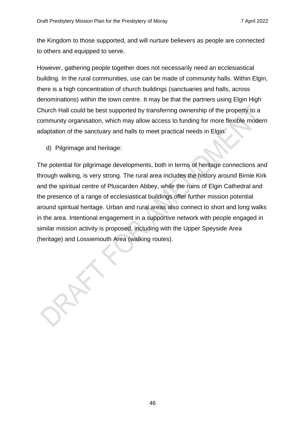the Kingdom to those supported, and will nurture believers as people are connected to others and equipped to serve.

However, gathering people together does not necessarily need an ecclesiastical building. In the rural communities, use can be made of community halls. Within Elgin, there is a high concentration of church buildings (sanctuaries and halls, across denominations) within the town centre. It may be that the partners using Elgin High Church Hall could be best supported by transferring ownership of the property to a community organisation, which may allow access to funding for more flexible modern adaptation of the sanctuary and halls to meet practical needs in Elgin.

d) Pilgrimage and heritage:

The potential for pilgrimage developments, both in terms of heritage connections and through walking, is very strong. The rural area includes the history around Birnie Kirk and the spiritual centre of Pluscarden Abbey, while the ruins of Elgin Cathedral and the presence of a range of ecclesiastical buildings offer further mission potential around spiritual heritage. Urban and rural areas also connect to short and long walks in the area. Intentional engagement in a supportive network with people engaged in similar mission activity is proposed, including with the Upper Speyside Area (heritage) and Lossiemouth Area (walking routes).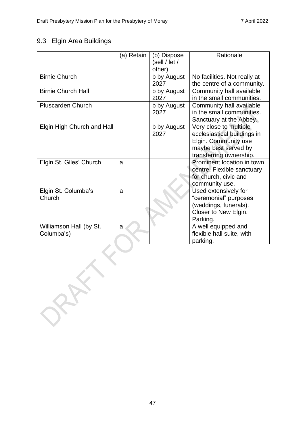# <span id="page-46-0"></span>9.3 Elgin Area Buildings

|                                       | (a) Retain | (b) Dispose<br>(self / let /<br>other) | Rationale                                                                                                                        |
|---------------------------------------|------------|----------------------------------------|----------------------------------------------------------------------------------------------------------------------------------|
| <b>Birnie Church</b>                  |            | b by August<br>2027                    | No facilities. Not really at<br>the centre of a community.                                                                       |
| <b>Birnie Church Hall</b>             |            | b by August<br>2027                    | Community hall available<br>in the small communities.                                                                            |
| <b>Pluscarden Church</b>              |            | b by August<br>2027                    | Community hall available<br>in the small communities.<br>Sanctuary at the Abbey.                                                 |
| Elgin High Church and Hall            |            | b by August<br>2027                    | Very close to multiple<br>ecclesiastical buildings in<br>Elgin. Community use<br>maybe best served by<br>transferring ownership. |
| Elgin St. Giles' Church               | a          |                                        | Prominent location in town<br>centre. Flexible sanctuary<br>for church, civic and<br>community use.                              |
| Elgin St. Columba's<br>Church         | a          |                                        | Used extensively for<br>"ceremonial" purposes<br>(weddings, funerals).<br>Closer to New Elgin.<br>Parking.                       |
| Williamson Hall (by St.<br>Columba's) | a          |                                        | A well equipped and<br>flexible hall suite, with<br>parking.                                                                     |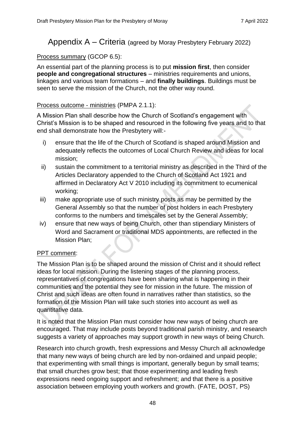# <span id="page-47-0"></span>Appendix A – Criteria (agreed by Moray Presbytery February 2022)

## Process summary (GCOP 6.5):

An essential part of the planning process is to put **mission first**, then consider **people and congregational structures** – ministries requirements and unions, linkages and various team formations – and **finally buildings**. Buildings must be seen to serve the mission of the Church, not the other way round.

#### Process outcome - ministries (PMPA 2.1.1):

A Mission Plan shall describe how the Church of Scotland's engagement with Christ's Mission is to be shaped and resourced in the following five years and to that end shall demonstrate how the Presbytery will:-

- i) ensure that the life of the Church of Scotland is shaped around Mission and adequately reflects the outcomes of Local Church Review and ideas for local mission;
- ii) sustain the commitment to a territorial ministry as described in the Third of the Articles Declaratory appended to the Church of Scotland Act 1921 and affirmed in Declaratory Act V 2010 including its commitment to ecumenical working;
- iii) make appropriate use of such ministry posts as may be permitted by the General Assembly so that the number of post holders in each Presbytery conforms to the numbers and timescales set by the General Assembly;
- iv) ensure that new ways of being Church, other than stipendiary Ministers of Word and Sacrament or traditional MDS appointments, are reflected in the Mission Plan;

### PPT comment:

The Mission Plan is to be shaped around the mission of Christ and it should reflect ideas for local mission. During the listening stages of the planning process, representatives of congregations have been sharing what is happening in their communities and the potential they see for mission in the future. The mission of Christ and such ideas are often found in narratives rather than statistics, so the formation of the Mission Plan will take such stories into account as well as quantitative data.

It is noted that the Mission Plan must consider how new ways of being church are encouraged. That may include posts beyond traditional parish ministry, and research suggests a variety of approaches may support growth in new ways of being Church.

Research into church growth, fresh expressions and Messy Church all acknowledge that many new ways of being church are led by non-ordained and unpaid people; that experimenting with small things is important, generally begun by small teams; that small churches grow best; that those experimenting and leading fresh expressions need ongoing support and refreshment; and that there is a positive association between employing youth workers and growth. (FATE, DOST, PS)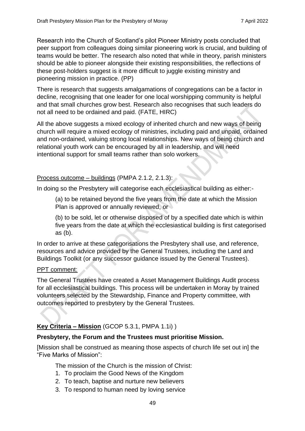Research into the Church of Scotland's pilot Pioneer Ministry posts concluded that peer support from colleagues doing similar pioneering work is crucial, and building of teams would be better. The research also noted that while in theory, parish ministers should be able to pioneer alongside their existing responsibilities, the reflections of these post-holders suggest is it more difficult to juggle existing ministry and pioneering mission in practice. (PP)

There is research that suggests amalgamations of congregations can be a factor in decline, recognising that one leader for one local worshipping community is helpful and that small churches grow best. Research also recognises that such leaders do not all need to be ordained and paid. (FATE, HIRC)

All the above suggests a mixed ecology of inherited church and new ways of being church will require a mixed ecology of ministries, including paid and unpaid, ordained and non-ordained, valuing strong local relationships. New ways of being church and relational youth work can be encouraged by all in leadership, and will need intentional support for small teams rather than solo workers.

### Process outcome – buildings (PMPA 2.1.2, 2.1.3):

In doing so the Presbytery will categorise each ecclesiastical building as either:-

(a) to be retained beyond the five years from the date at which the Mission Plan is approved or annually reviewed, or

(b) to be sold, let or otherwise disposed of by a specified date which is within five years from the date at which the ecclesiastical building is first categorised as (b).

In order to arrive at these categorisations the Presbytery shall use, and reference, resources and advice provided by the General Trustees, including the Land and Buildings Toolkit (or any successor guidance issued by the General Trustees).

#### PPT comment:

The General Trustees have created a Asset Management Buildings Audit process for all ecclesiastical buildings. This process will be undertaken in Moray by trained volunteers selected by the Stewardship, Finance and Property committee, with outcomes reported to presbytery by the General Trustees.

### **Key Criteria – Mission** (GCOP 5.3.1, PMPA 1.1i) )

#### **Presbytery, the Forum and the Trustees must prioritise Mission.**

[Mission shall be construed as meaning those aspects of church life set out in] the "Five Marks of Mission":

The mission of the Church is the mission of Christ:

- 1. To proclaim the Good News of the Kingdom
- 2. To teach, baptise and nurture new believers
- 3. To respond to human need by loving service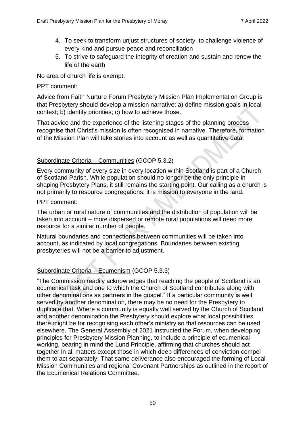- 4. To seek to transform unjust structures of society, to challenge violence of every kind and pursue peace and reconciliation
- 5. To strive to safeguard the integrity of creation and sustain and renew the life of the earth

No area of church life is exempt.

#### PPT comment:

Advice from Faith Nurture Forum Presbytery Mission Plan Implementation Group is that Presbytery should develop a mission narrative: a) define mission goals in local context; b) identify priorities; c) how to achieve those.

That advice and the experience of the listening stages of the planning process recognise that Christ's mission is often recognised in narrative. Therefore, formation of the Mission Plan will take stories into account as well as quantitative data.

## Subordinate Criteria – Communities (GCOP 5.3.2)

Every community of every size in every location within Scotland is part of a Church of Scotland Parish. While population should no longer be the only principle in shaping Presbytery Plans, it still remains the starting point. Our calling as a church is not primarily to resource congregations: it is mission to everyone in the land.

#### PPT comment:

The urban or rural nature of communities and the distribution of population will be taken into account – more dispersed or remote rural populations will need more resource for a similar number of people.

Natural boundaries and connections between communities will be taken into account, as indicated by local congregations. Boundaries between existing presbyteries will not be a barrier to adjustment.

# Subordinate Criteria – Ecumenism (GCOP 5.3.3)

"The Commission readily acknowledges that reaching the people of Scotland is an ecumenical task and one to which the Church of Scotland contributes along with other denominations as partners in the gospel." If a particular community is well served by another denomination, there may be no need for the Presbytery to duplicate that. Where a community is equally well served by the Church of Scotland and another denomination the Presbytery should explore what local possibilities there might be for recognising each other's ministry so that resources can be used elsewhere. The General Assembly of 2021 instructed the Forum, when developing principles for Presbytery Mission Planning, to include a principle of ecumenical working, bearing in mind the Lund Principle, affirming that churches should act together in all matters except those in which deep differences of conviction compel them to act separately. That same deliverance also encouraged the forming of Local Mission Communities and regional Covenant Partnerships as outlined in the report of the Ecumenical Relations Committee.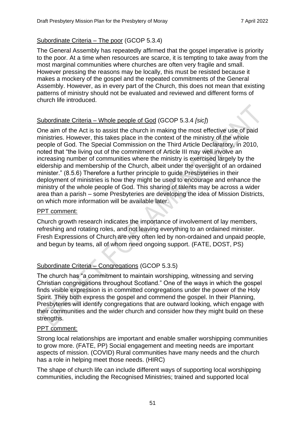## Subordinate Criteria – The poor (GCOP 5.3.4)

The General Assembly has repeatedly affirmed that the gospel imperative is priority to the poor. At a time when resources are scarce, it is tempting to take away from the most marginal communities where churches are often very fragile and small. However pressing the reasons may be locally, this must be resisted because it makes a mockery of the gospel and the repeated commitments of the General Assembly. However, as in every part of the Church, this does not mean that existing patterns of ministry should not be evaluated and reviewed and different forms of church life introduced.

## Subordinate Criteria – Whole people of God (GCOP 5.3.4 *[sic]*)

One aim of the Act is to assist the church in making the most effective use of paid ministries. However, this takes place in the context of the ministry of the whole people of God. The Special Commission on the Third Article Declaratory, in 2010, noted that "the living out of the commitment of Article III may well involve an increasing number of communities where the ministry is exercised largely by the eldership and membership of the Church, albeit under the oversight of an ordained minister." (8.5.6) Therefore a further principle to guide Presbyteries in their deployment of ministries is how they might be used to encourage and enhance the ministry of the whole people of God. This sharing of talents may be across a wider area than a parish – some Presbyteries are developing the idea of Mission Districts, on which more information will be available later.

### PPT comment:

Church growth research indicates the importance of involvement of lay members, refreshing and rotating roles, and not leaving everything to an ordained minister. Fresh Expressions of Church are very often led by non-ordained and unpaid people, and begun by teams, all of whom need ongoing support. (FATE, DOST, PS)

# Subordinate Criteria – Congregations (GCOP 5.3.5)

The church has "a commitment to maintain worshipping, witnessing and serving Christian congregations throughout Scotland." One of the ways in which the gospel finds visible expression is in committed congregations under the power of the Holy Spirit. They both express the gospel and commend the gospel. In their Planning, Presbyteries will identify congregations that are outward looking, which engage with their communities and the wider church and consider how they might build on these strengths.

### PPT comment:

Strong local relationships are important and enable smaller worshipping communities to grow more. (FATE, PP) Social engagement and meeting needs are important aspects of mission. (COVID) Rural communities have many needs and the church has a role in helping meet those needs. (HIRC)

The shape of church life can include different ways of supporting local worshipping communities, including the Recognised Ministries; trained and supported local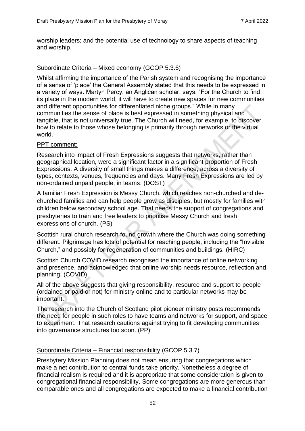worship leaders; and the potential use of technology to share aspects of teaching and worship.

### Subordinate Criteria – Mixed economy (GCOP 5.3.6)

Whilst affirming the importance of the Parish system and recognising the importance of a sense of 'place' the General Assembly stated that this needs to be expressed in a variety of ways. Martyn Percy, an Anglican scholar, says: "For the Church to find its place in the modern world, it will have to create new spaces for new communities and different opportunities for differentiated niche groups." While in many communities the sense of place is best expressed in something physical and tangible, that is not universally true. The Church will need, for example, to discover how to relate to those whose belonging is primarily through networks or the virtual world.

#### PPT comment:

Research into impact of Fresh Expressions suggests that networks, rather than geographical location, were a significant factor in a significant proportion of Fresh Expressions. A diversity of small things makes a difference, across a diversity of types, contexts, venues, frequencies and days. Many Fresh Expressions are led by non-ordained unpaid people, in teams. (DOST)

A familiar Fresh Expression is Messy Church, which reaches non-churched and dechurched families and can help people grow as disciples, but mostly for families with children below secondary school age. That needs the support of congregations and presbyteries to train and free leaders to prioritise Messy Church and fresh expressions of church. (PS)

Scottish rural church research found growth where the Church was doing something different. Pilgrimage has lots of potential for reaching people, including the "Invisible Church," and possibly for regeneration of communities and buildings. (HIRC)

Scottish Church COVID research recognised the importance of online networking and presence, and acknowledged that online worship needs resource, reflection and planning. (COVID)

All of the above suggests that giving responsibility, resource and support to people (ordained or paid or not) for ministry online and to particular networks may be important.

The research into the Church of Scotland pilot pioneer ministry posts recommends the need for people in such roles to have teams and networks for support, and space to experiment. That research cautions against trying to fit developing communities into governance structures too soon. (PP)

#### Subordinate Criteria – Financial responsibility (GCOP 5.3.7)

Presbytery Mission Planning does not mean ensuring that congregations which make a net contribution to central funds take priority. Nonetheless a degree of financial realism is required and it is appropriate that some consideration is given to congregational financial responsibility. Some congregations are more generous than comparable ones and all congregations are expected to make a financial contribution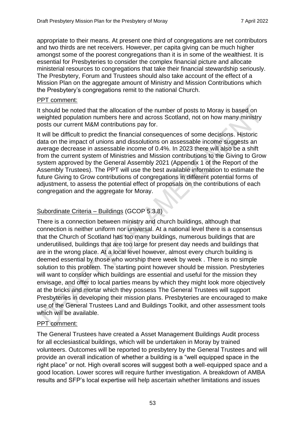appropriate to their means. At present one third of congregations are net contributors and two thirds are net receivers. However, per capita giving can be much higher amongst some of the poorest congregations than it is in some of the wealthiest. It is essential for Presbyteries to consider the complex financial picture and allocate ministerial resources to congregations that take their financial stewardship seriously. The Presbytery, Forum and Trustees should also take account of the effect of a Mission Plan on the aggregate amount of Ministry and Mission Contributions which the Presbytery's congregations remit to the national Church.

#### PPT comment:

It should be noted that the allocation of the number of posts to Moray is based on weighted population numbers here and across Scotland, not on how many ministry posts our current M&M contributions pay for.

It will be difficult to predict the financial consequences of some decisions. Historic data on the impact of unions and dissolutions on assessable income suggests an average decrease in assessable income of 0.4%. In 2023 there will also be a shift from the current system of Ministries and Mission contributions to the Giving to Grow system approved by the General Assembly 2021 (Appendix 1 of the Report of the Assembly Trustees). The PPT will use the best available information to estimate the future Giving to Grow contributions of congregations in different potential forms of adjustment, to assess the potential effect of proposals on the contributions of each congregation and the aggregate for Moray.

## Subordinate Criteria – Buildings (GCOP 5.3.8)

There is a connection between ministry and church buildings, although that connection is neither uniform nor universal. At a national level there is a consensus that the Church of Scotland has too many buildings, numerous buildings that are underutilised, buildings that are too large for present day needs and buildings that are in the wrong place. At a local level however, almost every church building is deemed essential by those who worship there week by week . There is no simple solution to this problem. The starting point however should be mission. Presbyteries will want to consider which buildings are essential and useful for the mission they envisage, and offer to local parties means by which they might look more objectively at the bricks and mortar which they possess The General Trustees will support Presbyteries in developing their mission plans. Presbyteries are encouraged to make use of the General Trustees Land and Buildings Toolkit, and other assessment tools which will be available.

### PPT comment:

The General Trustees have created a Asset Management Buildings Audit process for all ecclesiastical buildings, which will be undertaken in Moray by trained volunteers. Outcomes will be reported to presbytery by the General Trustees and will provide an overall indication of whether a building is a "well equipped space in the right place" or not. High overall scores will suggest both a well-equipped space and a good location. Lower scores will require further investigation. A breakdown of AMBA results and SFP's local expertise will help ascertain whether limitations and issues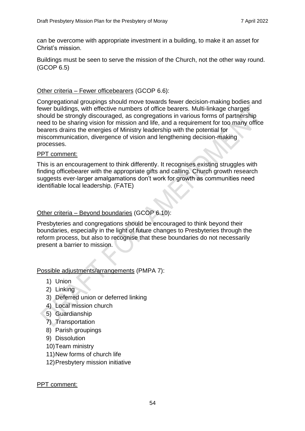can be overcome with appropriate investment in a building, to make it an asset for Christ's mission.

Buildings must be seen to serve the mission of the Church, not the other way round. (GCOP 6.5)

#### Other criteria – Fewer officebearers (GCOP 6.6):

Congregational groupings should move towards fewer decision-making bodies and fewer buildings, with effective numbers of office bearers. Multi-linkage charges should be strongly discouraged, as congregations in various forms of partnership need to be sharing vision for mission and life, and a requirement for too many office bearers drains the energies of Ministry leadership with the potential for miscommunication, divergence of vision and lengthening decision-making processes.

#### PPT comment:

This is an encouragement to think differently. It recognises existing struggles with finding officebearer with the appropriate gifts and calling. Church growth research suggests ever-larger amalgamations don't work for growth as communities need identifiable local leadership. (FATE)

#### Other criteria – Beyond boundaries (GCOP 6.10):

Presbyteries and congregations should be encouraged to think beyond their boundaries, especially in the light of future changes to Presbyteries through the reform process, but also to recognise that these boundaries do not necessarily present a barrier to mission.

#### Possible adjustments/arrangements (PMPA 7):

- 1) Union
- 2) Linking
- 3) Deferred union or deferred linking
- 4) Local mission church
- 5) Guardianship
- 7) Transportation
- 8) Parish groupings
- 9) Dissolution
- 10)Team ministry
- 11)New forms of church life
- 12)Presbytery mission initiative

#### PPT comment: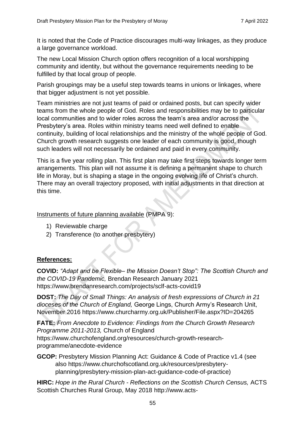It is noted that the Code of Practice discourages multi-way linkages, as they produce a large governance workload.

The new Local Mission Church option offers recognition of a local worshipping community and identity, but without the governance requirements needing to be fulfilled by that local group of people.

Parish groupings may be a useful step towards teams in unions or linkages, where that bigger adjustment is not yet possible.

Team ministries are not just teams of paid or ordained posts, but can specify wider teams from the whole people of God. Roles and responsibilities may be to particular local communities and to wider roles across the team's area and/or across the Presbytery's area. Roles within ministry teams need well defined to enable continuity, building of local relationships and the ministry of the whole people of God. Church growth research suggests one leader of each community is good, though such leaders will not necessarily be ordained and paid in every community.

This is a five year rolling plan. This first plan may take first steps towards longer term arrangements. This plan will not assume it is defining a permanent shape to church life in Moray, but is shaping a stage in the ongoing evolving life of Christ's church. There may an overall trajectory proposed, with initial adjustments in that direction at this time.

Instruments of future planning available (PMPA 9):

- 1) Reviewable charge
- 2) Transference (to another presbytery)

### **References:**

**COVID:** *"Adapt and be Flexible– the Mission Doesn't Stop": The Scottish Church and the COVID-19 Pandemic,* Brendan Research January 2021 <https://www.brendanresearch.com/projects/sclf-acts-covid19>

**DOST:** *The Day of Small Things: An analysis of fresh expressions of Church in 21 dioceses of the Church of England,* George Lings, Church Army's Research Unit, November 2016 https://www.churcharmy.org.uk/Publisher/File.aspx?ID=204265

**FATE:** *From Anecdote to Evidence: Findings from the Church Growth Research Programme 2011-2013,* Church of England [https://www.churchofengland.org/resources/church-growth-research](https://www.churchofengland.org/resources/church-growth-research-programme/anecdote-evidence)[programme/anecdote-evidence](https://www.churchofengland.org/resources/church-growth-research-programme/anecdote-evidence)

**GCOP:** Presbytery Mission Planning Act: Guidance & Code of Practice v1.4 (see also https://www.churchofscotland.org.uk/resources/presbyteryplanning/presbytery-mission-plan-act-guidance-code-of-practice)

**HIRC:** *Hope in the Rural Church - Reflections on the Scottish Church Census,* ACTS Scottish Churches Rural Group, May 2018 [http://www.acts-](http://www.acts-scotland.org/images/downloads/rural_group/SCRG_HopeRuralChurch_Report2018.pdf)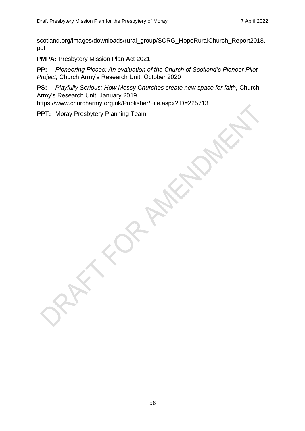[scotland.org/images/downloads/rural\\_group/SCRG\\_HopeRuralChurch\\_Report2018.](http://www.acts-scotland.org/images/downloads/rural_group/SCRG_HopeRuralChurch_Report2018.pdf) [pdf](http://www.acts-scotland.org/images/downloads/rural_group/SCRG_HopeRuralChurch_Report2018.pdf)

**PMPA:** Presbytery Mission Plan Act 2021

**PP:** *Pioneering Pieces: An evaluation of the Church of Scotland's Pioneer Pilot Project,* Church Army's Research Unit, October 2020

**PS:** *Playfully Serious: How Messy Churches create new space for faith,* Church Army's Research Unit, January 2019

https://www.churcharmy.org.uk/Publisher/File.aspx?ID=225713

**PPT:** Moray Presbytery Planning Team